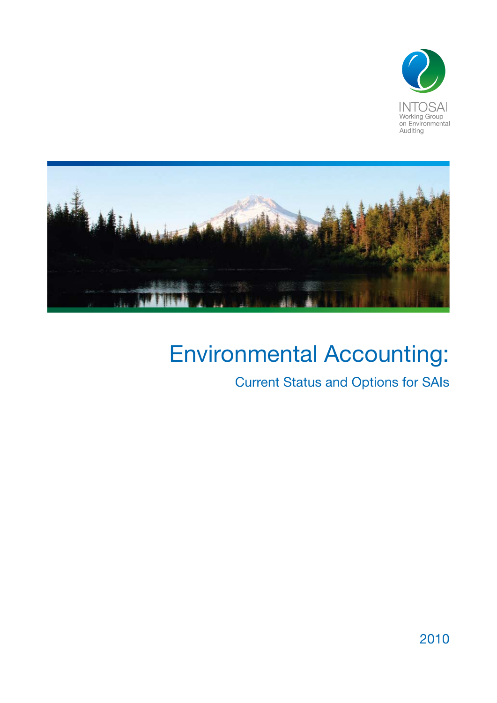



## Environmental Accounting:

Current Status and Options for SAIs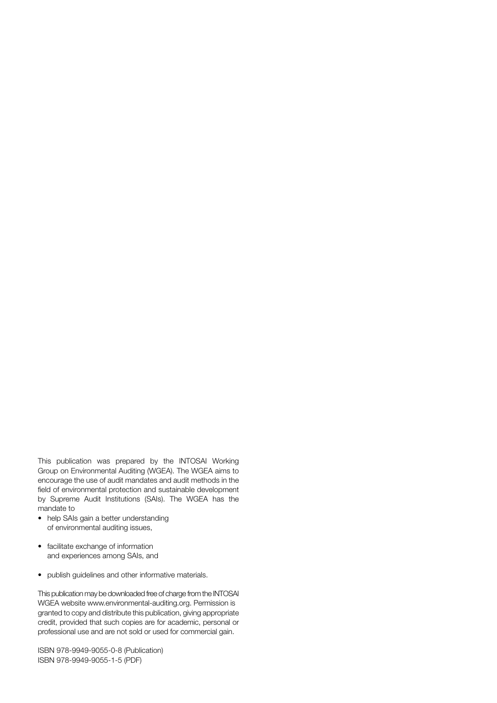This publication was prepared by the INTOSAI Working Group on Environmental Auditing (WGEA). The WGEA aims to encourage the use of audit mandates and audit methods in the field of environmental protection and sustainable development by Supreme Audit Institutions (SAIs). The WGEA has the mandate to

- help SAIs gain a better understanding of environmental auditing issues,
- facilitate exchange of information and experiences among SAIs, and
- • publish guidelines and other informative materials.

This publication may be downloaded free of charge from the INTOSAI WGEA website www.environmental-auditing.org. Permission is granted to copy and distribute this publication, giving appropriate credit, provided that such copies are for academic, personal or professional use and are not sold or used for commercial gain.

ISBN 978-9949-9055-0-8 (Publication) ISBN 978-9949-9055-1-5 (PDF)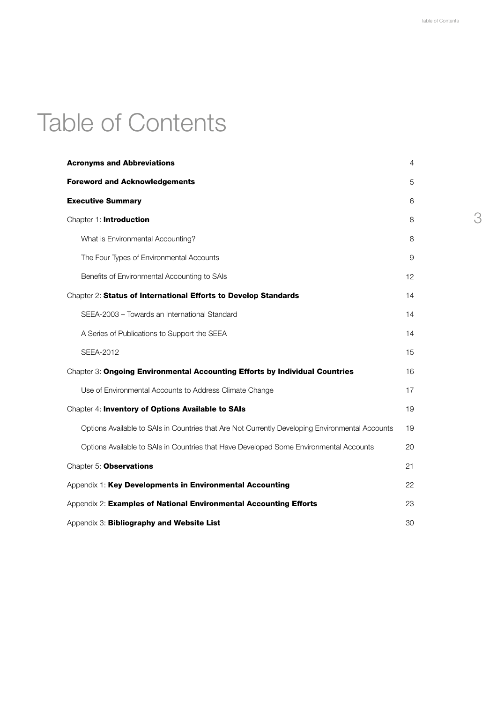# Table of Contents

| <b>Acronyms and Abbreviations</b>                                                               | 4  |
|-------------------------------------------------------------------------------------------------|----|
| <b>Foreword and Acknowledgements</b>                                                            | 5  |
| <b>Executive Summary</b>                                                                        | 6  |
| Chapter 1: Introduction                                                                         | 8  |
| What is Environmental Accounting?                                                               | 8  |
| The Four Types of Environmental Accounts                                                        | 9  |
| Benefits of Environmental Accounting to SAIs                                                    | 12 |
| Chapter 2: Status of International Efforts to Develop Standards                                 | 14 |
| SEEA-2003 - Towards an International Standard                                                   | 14 |
| A Series of Publications to Support the SEEA                                                    | 14 |
| SEEA-2012                                                                                       | 15 |
| Chapter 3: Ongoing Environmental Accounting Efforts by Individual Countries                     | 16 |
| Use of Environmental Accounts to Address Climate Change                                         | 17 |
| Chapter 4: Inventory of Options Available to SAIs                                               | 19 |
| Options Available to SAIs in Countries that Are Not Currently Developing Environmental Accounts | 19 |
| Options Available to SAIs in Countries that Have Developed Some Environmental Accounts          | 20 |
| Chapter 5: Observations                                                                         | 21 |
| Appendix 1: Key Developments in Environmental Accounting                                        | 22 |
| Appendix 2: Examples of National Environmental Accounting Efforts                               | 23 |
| Appendix 3: Bibliography and Website List                                                       | 30 |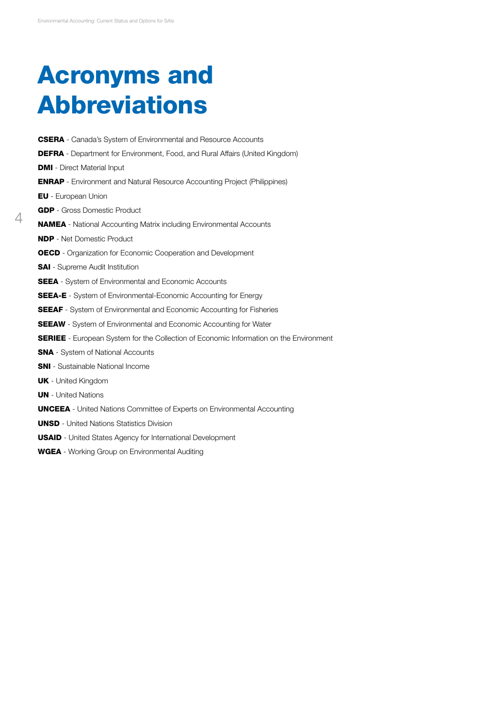$\Delta$ 

# Acronyms and Abbreviations

CSERA - Canada's System of Environmental and Resource Accounts DEFRA - Department for Environment, Food, and Rural Affairs (United Kingdom) **DMI** - Direct Material Input ENRAP - Environment and Natural Resource Accounting Project (Philippines) EU - European Union GDP - Gross Domestic Product NAMEA - National Accounting Matrix including Environmental Accounts NDP - Net Domestic Product OECD - Organization for Economic Cooperation and Development **SAI** - Supreme Audit Institution **SEEA** - System of Environmental and Economic Accounts SEEA-E - System of Environmental-Economic Accounting for Energy **SEEAF** - System of Environmental and Economic Accounting for Fisheries **SEEAW** - System of Environmental and Economic Accounting for Water **SERIEE** - European System for the Collection of Economic Information on the Environment **SNA** - System of National Accounts SNI - Sustainable National Income UK - United Kingdom **UN** - United Nations UNCEEA - United Nations Committee of Experts on Environmental Accounting UNSD - United Nations Statistics Division USAID - United States Agency for International Development

WGEA - Working Group on Environmental Auditing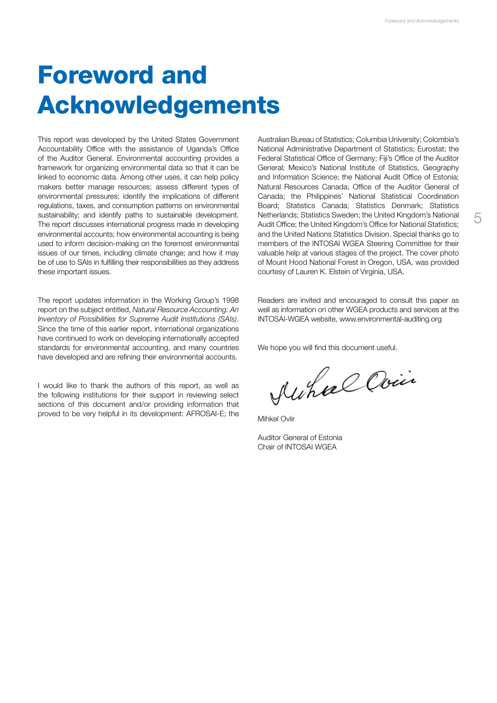# Foreword and Acknowledgements

This report was developed by the United States Government Accountability Office with the assistance of Uganda's Office of the Auditor General. Environmental accounting provides a framework for organizing environmental data so that it can be linked to economic data. Among other uses, it can help policy makers better manage resources; assess different types of environmental pressures; identify the implications of different regulations, taxes, and consumption patterns on environmental sustainability; and identify paths to sustainable development. The report discusses international progress made in developing environmental accounts; how environmental accounting is being used to inform decision-making on the foremost environmental issues of our times, including climate change; and how it may be of use to SAIs in fulfilling their responsibilities as they address these important issues.

The report updates information in the Working Group's 1998 report on the subject entitled, *Natural Resource Accounting: An Inventory of Possibilities for Supreme Audit Institutions (SAIs)*. Since the time of this earlier report, international organizations have continued to work on developing internationally accepted standards for environmental accounting, and many countries have developed and are refining their environmental accounts.

I would like to thank the authors of this report, as well as the following institutions for their support in reviewing select sections of this document and/or providing information that proved to be very helpful in its development: AFROSAI-E; the Australian Bureau of Statistics; Columbia University; Colombia's National Administrative Department of Statistics; Eurostat; the Federal Statistical Office of Germany; Fiji's Office of the Auditor General; Mexico's National Institute of Statistics, Geography and Information Science; the National Audit Office of Estonia; Natural Resources Canada; Office of the Auditor General of Canada; the Philippines' National Statistical Coordination Board; Statistics Canada; Statistics Denmark; Statistics Netherlands; Statistics Sweden; the United Kingdom's National Audit Office; the United Kingdom's Office for National Statistics; and the United Nations Statistics Division. Special thanks go to members of the INTOSAI WGEA Steering Committee for their valuable help at various stages of the project. The cover photo of Mount Hood National Forest in Oregon, USA, was provided courtesy of Lauren K. Elstein of Virginia, USA.

Readers are invited and encouraged to consult this paper as well as information on other WGEA products and services at the INTOSAI-WGEA website, www.environmental-auditing.org

We hope you will find this document useful.

Auhae Ovin

Mihkel Oviir

Auditor General of Estonia Chair of INTOSAI WGEA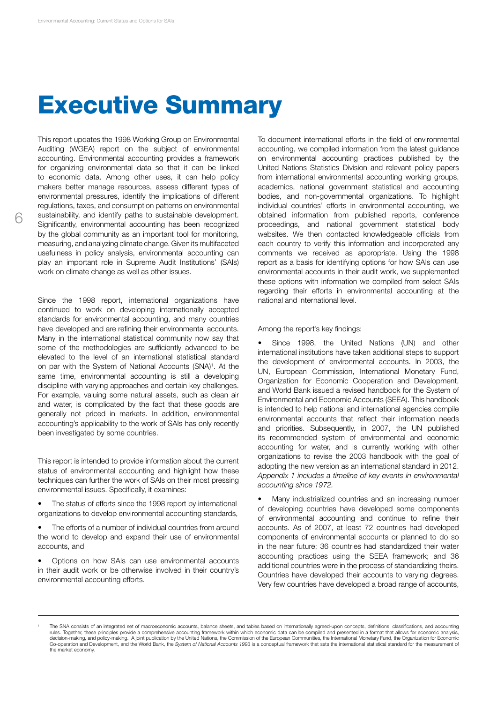## Executive Summary

This report updates the 1998 Working Group on Environmental Auditing (WGEA) report on the subject of environmental accounting. Environmental accounting provides a framework for organizing environmental data so that it can be linked to economic data. Among other uses, it can help policy makers better manage resources, assess different types of environmental pressures, identify the implications of different regulations, taxes, and consumption patterns on environmental sustainability, and identify paths to sustainable development. Significantly, environmental accounting has been recognized by the global community as an important tool for monitoring, measuring, and analyzing climate change. Given its multifaceted usefulness in policy analysis, environmental accounting can play an important role in Supreme Audit Institutions' (SAIs) work on climate change as well as other issues.

Since the 1998 report, international organizations have continued to work on developing internationally accepted standards for environmental accounting, and many countries have developed and are refining their environmental accounts. Many in the international statistical community now say that some of the methodologies are sufficiently advanced to be elevated to the level of an international statistical standard on par with the System of National Accounts (SNA)<sup>1</sup>. At the same time, environmental accounting is still a developing discipline with varying approaches and certain key challenges. For example, valuing some natural assets, such as clean air and water, is complicated by the fact that these goods are generally not priced in markets. In addition, environmental accounting's applicability to the work of SAIs has only recently been investigated by some countries.

This report is intended to provide information about the current status of environmental accounting and highlight how these techniques can further the work of SAIs on their most pressing environmental issues. Specifically, it examines:

The status of efforts since the 1998 report by international organizations to develop environmental accounting standards,

The efforts of a number of individual countries from around the world to develop and expand their use of environmental accounts, and

Options on how SAIs can use environmental accounts in their audit work or be otherwise involved in their country's environmental accounting efforts.

To document international efforts in the field of environmental accounting, we compiled information from the latest guidance on environmental accounting practices published by the United Nations Statistics Division and relevant policy papers from international environmental accounting working groups, academics, national government statistical and accounting bodies, and non-governmental organizations. To highlight individual countries' efforts in environmental accounting, we obtained information from published reports, conference proceedings, and national government statistical body websites. We then contacted knowledgeable officials from each country to verify this information and incorporated any comments we received as appropriate. Using the 1998 report as a basis for identifying options for how SAIs can use environmental accounts in their audit work, we supplemented these options with information we compiled from select SAIs regarding their efforts in environmental accounting at the national and international level.

Among the report's key findings:

Since 1998, the United Nations (UN) and other international institutions have taken additional steps to support the development of environmental accounts. In 2003, the UN, European Commission, International Monetary Fund, Organization for Economic Cooperation and Development, and World Bank issued a revised handbook for the System of Environmental and Economic Accounts (SEEA). This handbook is intended to help national and international agencies compile environmental accounts that reflect their information needs and priorities. Subsequently, in 2007, the UN published its recommended system of environmental and economic accounting for water, and is currently working with other organizations to revise the 2003 handbook with the goal of adopting the new version as an international standard in 2012. *Appendix 1 includes a timeline of key events in environmental accounting since 1972.*

Many industrialized countries and an increasing number of developing countries have developed some components of environmental accounting and continue to refine their accounts. As of 2007, at least 72 countries had developed components of environmental accounts or planned to do so in the near future; 36 countries had standardized their water accounting practices using the SEEA framework; and 36 additional countries were in the process of standardizing theirs. Countries have developed their accounts to varying degrees. Very few countries have developed a broad range of accounts,

<sup>1</sup> The SNA consists of an integrated set of macroeconomic accounts, balance sheets, and tables based on internationally agreed-upon concepts, definitions, classifications, and accounting rules. Together, these principles provide a comprehensive accounting framework within which economic data can be compiled and presented in a format that allows for economic analysis, decision-making, and policy-making. A joint publication by the United Nations, the Commission of the European Communities, the International Monetary Fund, the Organization for Economic<br>Co-operation and Development, and th the market economy.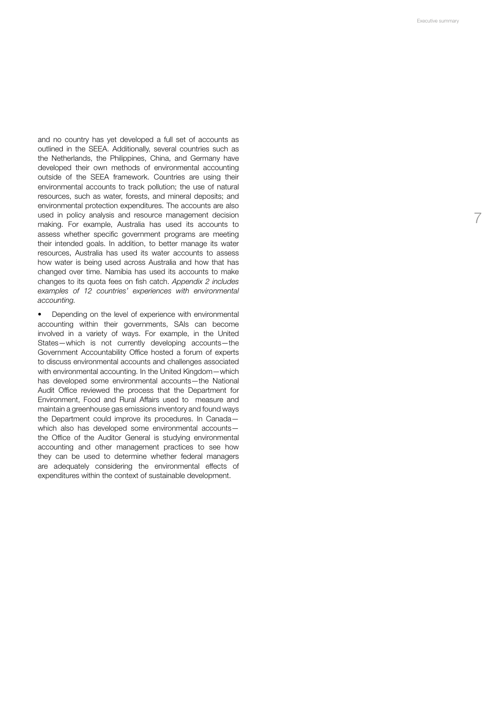7

and no country has yet developed a full set of accounts as outlined in the SEEA. Additionally, several countries such as the Netherlands, the Philippines, China, and Germany have developed their own methods of environmental accounting outside of the SEEA framework. Countries are using their environmental accounts to track pollution; the use of natural resources, such as water, forests, and mineral deposits; and environmental protection expenditures. The accounts are also used in policy analysis and resource management decision making. For example, Australia has used its accounts to assess whether specific government programs are meeting their intended goals. In addition, to better manage its water resources, Australia has used its water accounts to assess how water is being used across Australia and how that has changed over time. Namibia has used its accounts to make changes to its quota fees on fish catch. *Appendix 2 includes examples of 12 countries' experiences with environmental accounting.*

• Depending on the level of experience with environmental accounting within their governments, SAIs can become involved in a variety of ways. For example, in the United States—which is not currently developing accounts—the Government Accountability Office hosted a forum of experts to discuss environmental accounts and challenges associated with environmental accounting. In the United Kingdom—which has developed some environmental accounts—the National Audit Office reviewed the process that the Department for Environment, Food and Rural Affairs used to measure and maintain a greenhouse gas emissions inventory and found ways the Department could improve its procedures. In Canada which also has developed some environmental accounts the Office of the Auditor General is studying environmental accounting and other management practices to see how they can be used to determine whether federal managers are adequately considering the environmental effects of expenditures within the context of sustainable development.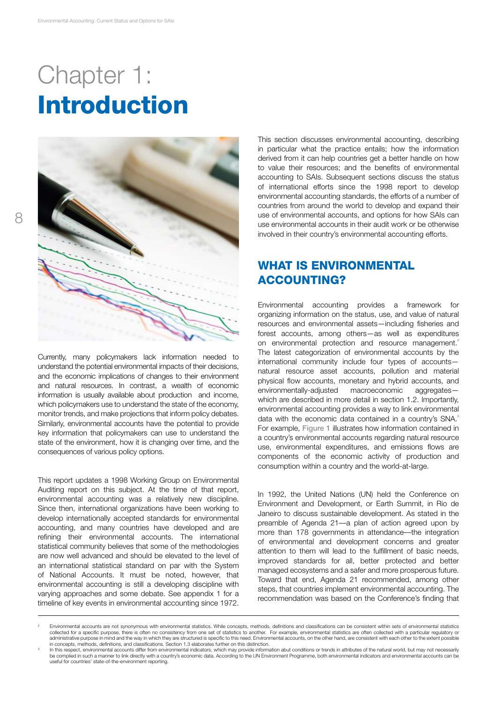# Chapter 1: Introduction



Currently, many policymakers lack information needed to understand the potential environmental impacts of their decisions, and the economic implications of changes to their environment and natural resources. In contrast, a wealth of economic information is usually available about production and income, which policymakers use to understand the state of the economy, monitor trends, and make projections that inform policy debates. Similarly, environmental accounts have the potential to provide key information that policymakers can use to understand the state of the environment, how it is changing over time, and the consequences of various policy options.

This report updates a 1998 Working Group on Environmental Auditing report on this subject. At the time of that report, environmental accounting was a relatively new discipline. Since then, international organizations have been working to develop internationally accepted standards for environmental accounting, and many countries have developed and are refining their environmental accounts. The international statistical community believes that some of the methodologies are now well advanced and should be elevated to the level of an international statistical standard on par with the System of National Accounts. It must be noted, however, that environmental accounting is still a developing discipline with varying approaches and some debate. See appendix 1 for a timeline of key events in environmental accounting since 1972.

This section discusses environmental accounting, describing in particular what the practice entails; how the information derived from it can help countries get a better handle on how to value their resources; and the benefits of environmental accounting to SAIs. Subsequent sections discuss the status of international efforts since the 1998 report to develop environmental accounting standards, the efforts of a number of countries from around the world to develop and expand their use of environmental accounts, and options for how SAIs can use environmental accounts in their audit work or be otherwise involved in their country's environmental accounting efforts.

## WHAT IS ENVIRONMENTAL **ACCOUNTING?**

Environmental accounting provides a framework for organizing information on the status, use, and value of natural resources and environmental assets—including fisheries and forest accounts, among others—as well as expenditures on environmental protection and resource management.<sup>2</sup> The latest categorization of environmental accounts by the international community include four types of accounts natural resource asset accounts, pollution and material physical flow accounts, monetary and hybrid accounts, and environmentally-adjusted macroeconomic aggregates which are described in more detail in section 1.2. Importantly, environmental accounting provides a way to link environmental data with the economic data contained in a country's SNA.<sup>3</sup> For example, Figure 1 illustrates how information contained in a country's environmental accounts regarding natural resource use, environmental expenditures, and emissions flows are components of the economic activity of production and consumption within a country and the world-at-large.

In 1992, the United Nations (UN) held the Conference on Environment and Development, or Earth Summit, in Rio de Janeiro to discuss sustainable development. As stated in the preamble of Agenda 21––a plan of action agreed upon by more than 178 governments in attendance––the integration of environmental and development concerns and greater attention to them will lead to the fulfillment of basic needs, improved standards for all, better protected and better managed ecosystems and a safer and more prosperous future. Toward that end, Agenda 21 recommended, among other steps, that countries implement environmental accounting. The recommendation was based on the Conference's finding that

<sup>2</sup> Environmental accounts are not synonymous with environmental statistics. While concepts, methods, definitions and classifications can be consistent within sets of environmental statistics collected for a specific purpose, there is often no consistency from one set of statistics to another. For example, environmental statistics are often collected with a particular regulatory or administrative purpose in mind and the way in which they are structured is specific to this need. Environmental accounts, on the other hand, are consistent with each other to the extent possible<br>in concepts, methods, defin

In this respect, environmental accounts differ from environmental indicators, which may provide information abut conditions or trends in attributes of the natural world, but may not necessarily be complied in such a manner to link directly with a country's economic data. According to the UN Environment Programme, both environmental indicators and environmental accounts can be useful for countries' state-of-the-environment reporting.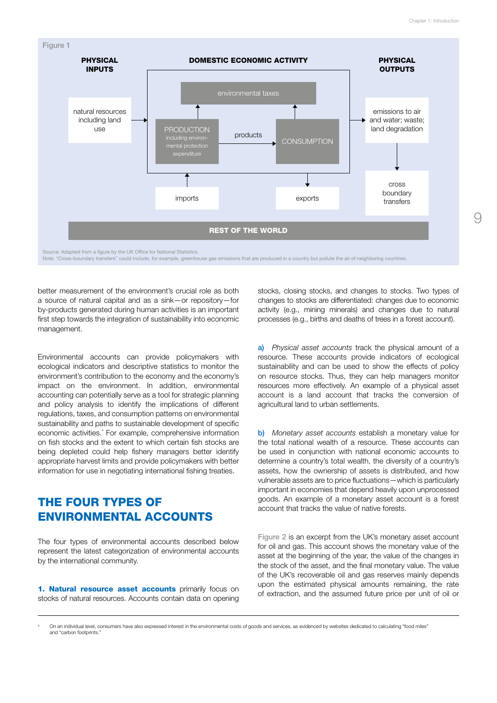$\bigcirc$ 



Note: "Cross-boundary transfers" could include, for example, greenhouse gas emissions that are produced in a country but pollute the air of neighboring countries.

better measurement of the environment's crucial role as both a source of natural capital and as a sink—or repository—for by-products generated during human activities is an important first step towards the integration of sustainability into economic management.

Environmental accounts can provide policymakers with ecological indicators and descriptive statistics to monitor the environment's contribution to the economy and the economy's impact on the environment. In addition, environmental accounting can potentially serve as a tool for strategic planning and policy analysis to identify the implications of different regulations, taxes, and consumption patterns on environmental sustainability and paths to sustainable development of specific economic activities.<sup>4</sup> For example, comprehensive information on fish stocks and the extent to which certain fish stocks are being depleted could help fishery managers better identify appropriate harvest limits and provide policymakers with better information for use in negotiating international fishing treaties.

## The Four Types of Environmental Accounts

The four types of environmental accounts described below represent the latest categorization of environmental accounts by the international community.

1. Natural resource asset accounts primarily focus on stocks of natural resources. Accounts contain data on opening stocks, closing stocks, and changes to stocks. Two types of changes to stocks are differentiated: changes due to economic activity (e.g., mining minerals) and changes due to natural processes (e.g., births and deaths of trees in a forest account).

a) *Physical asset accounts* track the physical amount of a resource. These accounts provide indicators of ecological sustainability and can be used to show the effects of policy on resource stocks. Thus, they can help managers monitor resources more effectively. An example of a physical asset account is a land account that tracks the conversion of agricultural land to urban settlements.

b) *Monetary asset accounts* establish a monetary value for the total national wealth of a resource. These accounts can be used in conjunction with national economic accounts to determine a country's total wealth, the diversity of a country's assets, how the ownership of assets is distributed, and how vulnerable assets are to price fluctuations—which is particularly important in economies that depend heavily upon unprocessed goods. An example of a monetary asset account is a forest account that tracks the value of native forests.

Figure 2 is an excerpt from the UK's monetary asset account for oil and gas. This account shows the monetary value of the asset at the beginning of the year, the value of the changes in the stock of the asset, and the final monetary value. The value of the UK's recoverable oil and gas reserves mainly depends upon the estimated physical amounts remaining, the rate of extraction, and the assumed future price per unit of oil or

4 On an individual level, consumers have also expressed interest in the environmental costs of goods and services, as evidenced by websites dedicated to calculating "food miles" and "carbon footprints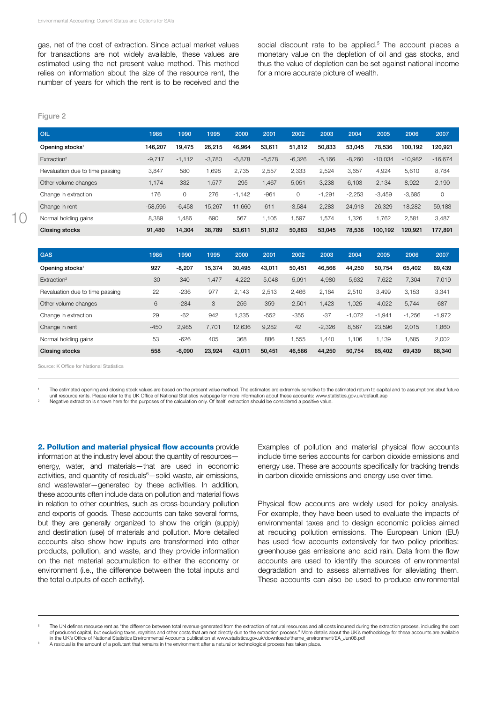gas, net of the cost of extraction. Since actual market values for transactions are not widely available, these values are estimated using the net present value method. This method relies on information about the size of the resource rent, the number of years for which the rent is to be received and the

social discount rate to be applied.<sup>5</sup> The account places a monetary value on the depletion of oil and gas stocks, and thus the value of depletion can be set against national income for a more accurate picture of wealth.

#### Figure 2

| <b>OIL</b>                      | 1985      | 1990        | 1995     | 2000     | 2001     | 2002     | 2003     | 2004     | 2005      | 2006      | 2007        |
|---------------------------------|-----------|-------------|----------|----------|----------|----------|----------|----------|-----------|-----------|-------------|
| Opening stocks <sup>1</sup>     | 146.207   | 19,475      | 26,215   | 46.964   | 53,611   | 51,812   | 50,833   | 53,045   | 78,536    | 100.192   | 120,921     |
| Extraction <sup>2</sup>         | $-9,717$  | $-1.112$    | $-3,780$ | $-6,878$ | $-6,578$ | $-6,326$ | $-6,166$ | $-8,260$ | $-10.034$ | $-10,982$ | $-16,674$   |
| Revaluation due to time passing | 3,847     | 580         | .698     | 2.735    | 2,557    | 2,333    | 2,524    | 3,657    | 4,924     | 5,610     | 8,784       |
| Other volume changes            | 1,174     | 332         | $-1,577$ | $-295$   | 1,467    | 5,051    | 3,238    | 6,103    | 2,134     | 8,922     | 2,190       |
| Change in extraction            | 176       | $\mathbf 0$ | 276      | $-1.142$ | $-961$   | 0        | $-1.291$ | $-2,253$ | $-3.459$  | $-3.685$  | $\mathbf 0$ |
| Change in rent                  | $-58.596$ | $-6.458$    | 15.267   | 11.660   | 611      | $-3,584$ | 2,283    | 24.918   | 26.329    | 18.282    | 59,183      |
| Normal holding gains            | 8,389     | 1.486       | 690      | 567      | 1.105    | .597     | .574     | .326     | .762      | 2,581     | 3,487       |
| <b>Closing stocks</b>           | 91,480    | 14.304      | 38,789   | 53.611   | 51,812   | 50,883   | 53.045   | 78.536   | 100.192   | 120.921   | 177,891     |

| 1985   | 1990  | 1995                                                               | 2000                         | 2001     | 2002     | 2003     | 2004             | 2005     | 2006     | 2007     |
|--------|-------|--------------------------------------------------------------------|------------------------------|----------|----------|----------|------------------|----------|----------|----------|
| 927    |       |                                                                    | 30.495                       | 43,011   | 50.451   |          | 44.250           | 50.754   | 65.402   | 69,439   |
| $-30$  |       |                                                                    | $-4,222$                     | $-5,048$ | $-5,091$ | $-4,980$ | $-5,632$         | $-7,622$ | $-7,304$ | $-7,019$ |
| 22     |       | 977                                                                | 2.143                        | 2,513    | 2,466    | 2,164    | 2,510            | 3.499    | 3.153    | 3,341    |
| 6      |       | 3                                                                  | 256                          | 359      | $-2,501$ | ,423     | 1,025            | $-4,022$ | 5,744    | 687      |
| 29     | $-62$ | 942                                                                | 1,335                        | $-552$   | $-355$   | $-37$    | $-1,072$         | $-1,941$ | $-1,256$ | $-1,972$ |
| $-450$ |       | 7,701                                                              | 12,636                       | 9,282    | 42       | $-2,326$ | 8,567            | 23,596   | 2,015    | 1,860    |
| 53     |       | 405                                                                | 368                          | 886      | 1,555    | .440     | 1.106            | 1.139    | 1,685    | 2,002    |
| 558    |       |                                                                    | 43,011                       | 50,451   | 46,566   |          | 50,754           | 65,402   | 69,439   | 68,340   |
|        |       | $-8.207$<br>340<br>$-236$<br>$-284$<br>2,985<br>$-626$<br>$-6,090$ | 15,374<br>$-1,477$<br>23,924 |          |          |          | 46.566<br>44,250 |          |          |          |

Source: K Office for National Statistics

The estimated opening and closing stock values are based on the present value method. The estimates are extremely sensitive to the estimated return to capital and to assumptions abut future "<br>unit resource rents. Please re

2. Pollution and material physical flow accounts provide information at the industry level about the quantity of resources energy, water, and materials—that are used in economic activities, and quantity of residuals<sup>6</sup>—solid waste, air emissions, and wastewater—generated by these activities. In addition, these accounts often include data on pollution and material flows in relation to other countries, such as cross-boundary pollution and exports of goods. These accounts can take several forms, but they are generally organized to show the origin (supply) and destination (use) of materials and pollution. More detailed accounts also show how inputs are transformed into other products, pollution, and waste, and they provide information on the net material accumulation to either the economy or environment (i.e., the difference between the total inputs and the total outputs of each activity).

Examples of pollution and material physical flow accounts include time series accounts for carbon dioxide emissions and energy use. These are accounts specifically for tracking trends in carbon dioxide emissions and energy use over time.

Physical flow accounts are widely used for policy analysis. For example, they have been used to evaluate the impacts of environmental taxes and to design economic policies aimed at reducing pollution emissions. The European Union (EU) has used flow accounts extensively for two policy priorities: greenhouse gas emissions and acid rain. Data from the flow accounts are used to identify the sources of environmental degradation and to assess alternatives for alleviating them. These accounts can also be used to produce environmental

<sup>5</sup> The UN defines resource rent as "the difference between total revenue generated from the extraction of natural resources and all costs incurred during the extraction process, including the cost of produced capital, but excluding taxes, royalties and other costs that are not directly due to the extraction process." More details about the UK's methodology for these accounts are available in the UK's Office of National Statistics Environmental Accounts publication at www.statistics.gov.uk/downloads/theme\_environment/EA\_Jun08.pdf<br>A residual is the amount of a pollutant that remains in the environment after a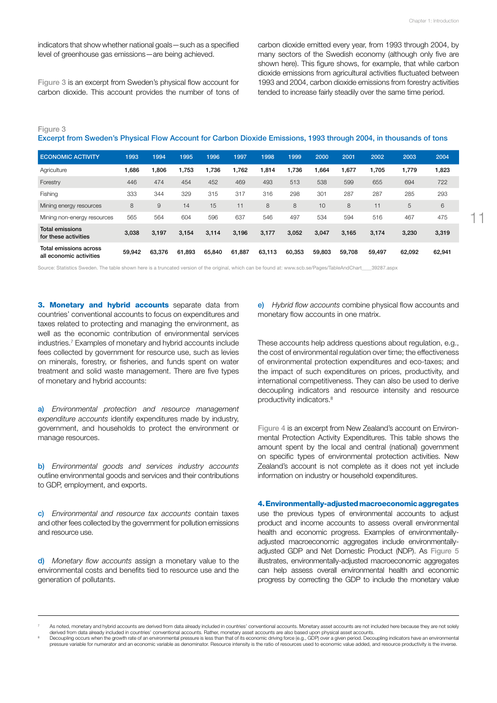indicators that show whether national goals—such as a specified level of greenhouse gas emissions—are being achieved.

Figure 3 is an excerpt from Sweden's physical flow account for carbon dioxide. This account provides the number of tons of carbon dioxide emitted every year, from 1993 through 2004, by many sectors of the Swedish economy (although only five are shown here). This figure shows, for example, that while carbon dioxide emissions from agricultural activities fluctuated between 1993 and 2004, carbon dioxide emissions from forestry activities tended to increase fairly steadily over the same time period.

Figure 3 Excerpt from Sweden's Physical Flow Account for Carbon Dioxide Emissions, 1993 through 2004, in thousands of tons

| <b>ECONOMIC ACTIVITY</b>                               | 1993   | 1994   | 1995   | 1996   | 1997   | 1998   | 1999   | 2000   | 2001   | 2002   | 2003   | 2004   |
|--------------------------------------------------------|--------|--------|--------|--------|--------|--------|--------|--------|--------|--------|--------|--------|
| Agriculture                                            | 1.686  | 1,806  | 1.753  | 1.736  | 1.762  | 1,814  | 1.736  | 664,   | 1.677  | 1.705  | 1,779  | 1,823  |
| Forestry                                               | 446    | 474    | 454    | 452    | 469    | 493    | 513    | 538    | 599    | 655    | 694    | 722    |
| Fishing                                                | 333    | 344    | 329    | 315    | 317    | 316    | 298    | 301    | 287    | 287    | 285    | 293    |
| Mining energy resources                                | 8      | 9      | 14     | 15     | 11     | 8      | 8      | 10     | 8      | 11     | 5      | 6      |
| Mining non-energy resources                            | 565    | 564    | 604    | 596    | 637    | 546    | 497    | 534    | 594    | 516    | 467    | 475    |
| <b>Total emissions</b><br>for these activities         | 3,038  | 3.197  | 3,154  | 3,114  | 3.196  | 3,177  | 3,052  | 3,047  | 3,165  | 3,174  | 3,230  | 3,319  |
| Total<br>l emissions across<br>all economic activities | 59,942 | 63.376 | 61.893 | 65,840 | 61,887 | 63,113 | 60.353 | 59,803 | 59.708 | 59.497 | 62.092 | 62,941 |

Source: Statistics Sweden. The table shown here is a truncated version of the original, which can be found at: www.scb.se/Pages/TableAndChart 39287.aspx

3. Monetary and hybrid accounts separate data from countries' conventional accounts to focus on expenditures and taxes related to protecting and managing the environment, as well as the economic contribution of environmental services industries.7 Examples of monetary and hybrid accounts include fees collected by government for resource use, such as levies on minerals, forestry, or fisheries, and funds spent on water treatment and solid waste management. There are five types of monetary and hybrid accounts:

a) *Environmental protection and resource management expenditure accounts* identify expenditures made by industry, government, and households to protect the environment or manage resources.

b) *Environmental goods and services industry accounts* outline environmental goods and services and their contributions to GDP, employment, and exports.

c) *Environmental and resource tax accounts* contain taxes and other fees collected by the government for pollution emissions and resource use.

d) *Monetary flow accounts* assign a monetary value to the environmental costs and benefits tied to resource use and the generation of pollutants.

e) *Hybrid flow accounts* combine physical flow accounts and monetary flow accounts in one matrix.

These accounts help address questions about regulation, e.g., the cost of environmental regulation over time; the effectiveness of environmental protection expenditures and eco-taxes; and the impact of such expenditures on prices, productivity, and international competitiveness. They can also be used to derive decoupling indicators and resource intensity and resource productivity indicators.8

Figure 4 is an excerpt from New Zealand's account on Environmental Protection Activity Expenditures. This table shows the amount spent by the local and central (national) government on specific types of environmental protection activities. New Zealand's account is not complete as it does not yet include information on industry or household expenditures.

4. Environmentally-adjusted macroeconomic aggregates

use the previous types of environmental accounts to adjust product and income accounts to assess overall environmental health and economic progress. Examples of environmentallyadjusted macroeconomic aggregates include environmentallyadjusted GDP and Net Domestic Product (NDP). As Figure 5 illustrates, environmentally-adjusted macroeconomic aggregates can help assess overall environmental health and economic progress by correcting the GDP to include the monetary value

As noted, monetary and hybrid accounts are derived from data already included in countries' conventional accounts. Monetary asset accounts are not included here because they are not solely<br>derived from data already include

derived from data already included in countries' conventional accounts. Rather, monetary asset accounts are also based upon physical asset accounts.<br>Decoupling occurs when the growth rate of an environmental pressure is le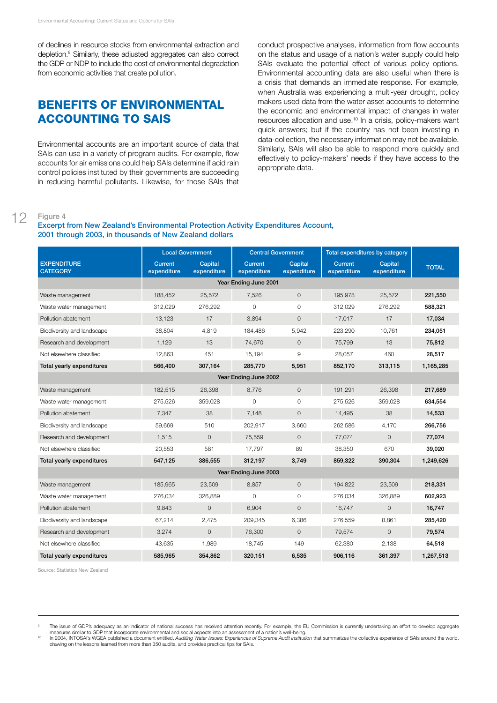of declines in resource stocks from environmental extraction and depletion.9 Similarly, these adjusted aggregates can also correct the GDP or NDP to include the cost of environmental degradation from economic activities that create pollution.

## Benefits of Environmental Accounting to SAIs

Environmental accounts are an important source of data that SAIs can use in a variety of program audits. For example, flow accounts for air emissions could help SAIs determine if acid rain control policies instituted by their governments are succeeding in reducing harmful pollutants. Likewise, for those SAIs that conduct prospective analyses, information from flow accounts on the status and usage of a nation's water supply could help SAIs evaluate the potential effect of various policy options. Environmental accounting data are also useful when there is a crisis that demands an immediate response. For example, when Australia was experiencing a multi-year drought, policy makers used data from the water asset accounts to determine the economic and environmental impact of changes in water resources allocation and use.<sup>10</sup> In a crisis, policy-makers want quick answers; but if the country has not been investing in data-collection, the necessary information may not be available. Similarly, SAIs will also be able to respond more quickly and effectively to policy-makers' needs if they have access to the appropriate data.

#### 12 Figure 4

#### Excerpt from New Zealand's Environmental Protection Activity Expenditures Account, 2001 through 2003, in thousands of New Zealand dollars

|                                       | <b>Local Government</b>       |                        | <b>Central Government</b>     |                        | Total expenditures by category |                        |              |  |  |  |
|---------------------------------------|-------------------------------|------------------------|-------------------------------|------------------------|--------------------------------|------------------------|--------------|--|--|--|
| <b>EXPENDITURE</b><br><b>CATEGORY</b> | <b>Current</b><br>expenditure | Capital<br>expenditure | <b>Current</b><br>expenditure | Capital<br>expenditure | <b>Current</b><br>expenditure  | Capital<br>expenditure | <b>TOTAL</b> |  |  |  |
| Year Ending June 2001                 |                               |                        |                               |                        |                                |                        |              |  |  |  |
| Waste management                      | 188,452                       | 25,572                 | 7,526                         | $\circ$                | 195,978                        | 25,572                 | 221,550      |  |  |  |
| Waste water management                | 312,029                       | 276,292                | $\circ$                       | $\circ$                | 312,029                        | 276,292                | 588,321      |  |  |  |
| Pollution abatement                   | 13,123                        | 17                     | 3,894                         | $\mathbf 0$            | 17,017                         | 17                     | 17,034       |  |  |  |
| Biodiversity and landscape            | 38,804                        | 4,819                  | 184,486                       | 5,942                  | 223,290                        | 10,761                 | 234,051      |  |  |  |
| Research and development              | 1,129                         | 13                     | 74,670                        | $\circ$                | 75,799                         | 13                     | 75,812       |  |  |  |
| Not elsewhere classified              | 12,863                        | 451                    | 15,194                        | 9                      | 28,057                         | 460                    | 28,517       |  |  |  |
| Total yearly expenditures             | 566,400                       | 307,164                | 285,770                       | 5,951                  | 852,170                        | 313,115                | 1,165,285    |  |  |  |
|                                       |                               |                        | Year Ending June 2002         |                        |                                |                        |              |  |  |  |
| Waste management                      | 182,515                       | 26,398                 | 8,776                         | $\mathbf 0$            | 191,291                        | 26,398                 | 217,689      |  |  |  |
| Waste water management                | 275,526                       | 359,028                | 0                             | 0                      | 275,526                        | 359,028                | 634,554      |  |  |  |
| Pollution abatement                   | 7,347                         | 38                     | 7,148                         | $\mathbf 0$            | 14,495                         | 38                     | 14,533       |  |  |  |
| Biodiversity and landscape            | 59,669                        | 510                    | 202,917                       | 3,660                  | 262,586                        | 4,170                  | 266,756      |  |  |  |
| Research and development              | 1,515                         | $\mathbf 0$            | 75,559                        | $\mathbf 0$            | 77,074                         | $\mathbf{0}$           | 77,074       |  |  |  |
| Not elsewhere classified              | 20,553                        | 581                    | 17,797                        | 89                     | 38,350                         | 670                    | 39,020       |  |  |  |
| Total yearly expenditures             | 547,125                       | 386,555                | 312,197                       | 3,749                  | 859,322                        | 390,304                | 1,249,626    |  |  |  |
|                                       |                               |                        | Year Ending June 2003         |                        |                                |                        |              |  |  |  |
| Waste management                      | 185,965                       | 23,509                 | 8,857                         | $\circ$                | 194,822                        | 23,509                 | 218,331      |  |  |  |
| Waste water management                | 276,034                       | 326,889                | 0                             | 0                      | 276,034                        | 326,889                | 602,923      |  |  |  |
| Pollution abatement                   | 9,843                         | $\mathbf{O}$           | 6,904                         | $\mathbf{O}$           | 16,747                         | $\mathbf{O}$           | 16,747       |  |  |  |
| Biodiversity and landscape            | 67,214                        | 2,475                  | 209,345                       | 6,386                  | 276,559                        | 8,861                  | 285,420      |  |  |  |
| Research and development              | 3,274                         | $\mathbf{O}$           | 76,300                        | $\mathbf{0}$           | 79,574                         | $\mathbf{0}$           | 79,574       |  |  |  |
| Not elsewhere classified              | 43,635                        | 1,989                  | 18,745                        | 149                    | 62,380                         | 2,138                  | 64,518       |  |  |  |
| Total yearly expenditures             | 585.965                       | 354.862                | 320.151                       | 6,535                  | 906.116                        | 361,397                | 1.267.513    |  |  |  |

Source: Statistics New Zealand

<sup>9</sup> The issue of GDP's adequacy as an indicator of national success has received attention recently. For example, the EU Commission is currently undertaking an effort to develop aggregate measures similar to GDP that incorpora

measures similar to GDP that incorporate environmental and social aspects into an assessment of a nation's well-being.<br>In 2004, INTOSAI's WGEA published a document entitled, Auditing Water Issues: Experiences of Swipreme A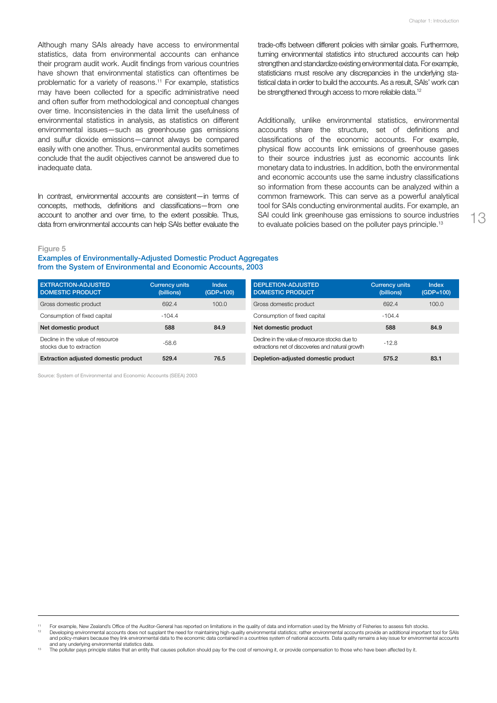Although many SAIs already have access to environmental statistics, data from environmental accounts can enhance their program audit work. Audit findings from various countries have shown that environmental statistics can oftentimes be problematic for a variety of reasons.<sup>11</sup> For example, statistics may have been collected for a specific administrative need and often suffer from methodological and conceptual changes over time. Inconsistencies in the data limit the usefulness of environmental statistics in analysis, as statistics on different environmental issues—such as greenhouse gas emissions and sulfur dioxide emissions—cannot always be compared easily with one another. Thus, environmental audits sometimes conclude that the audit objectives cannot be answered due to inadequate data.

In contrast, environmental accounts are consistent—in terms of concepts, methods, definitions and classifications—from one account to another and over time, to the extent possible. Thus, data from environmental accounts can help SAIs better evaluate the

trade-offs between different policies with similar goals. Furthermore, turning environmental statistics into structured accounts can help strengthen and standardize existing environmental data. For example, statisticians must resolve any discrepancies in the underlying statistical data in order to build the accounts. As a result, SAIs' work can be strengthened through access to more reliable data.<sup>12</sup>

Additionally, unlike environmental statistics, environmental accounts share the structure, set of definitions and classifications of the economic accounts. For example, physical flow accounts link emissions of greenhouse gases to their source industries just as economic accounts link monetary data to industries. In addition, both the environmental and economic accounts use the same industry classifications so information from these accounts can be analyzed within a common framework. This can serve as a powerful analytical tool for SAIs conducting environmental audits. For example, an SAI could link greenhouse gas emissions to source industries to evaluate policies based on the polluter pays principle.<sup>13</sup>

Figure 5

Examples of Environmentally-Adjusted Domestic Product Aggregates from the System of Environmental and Economic Accounts, 2003

| <b>EXTRACTION-ADJUSTED</b><br><b>DOMESTIC PRODUCT</b>        | <b>Currency units</b><br>(billions) | <b>Index</b><br>(GDP=100) | DEPLETION-ADJUSTED<br><b>DOMESTIC PRODUCT</b>                                                       | <b>Currency units</b><br>(billions) | Index<br>$(GDP=100)$ |
|--------------------------------------------------------------|-------------------------------------|---------------------------|-----------------------------------------------------------------------------------------------------|-------------------------------------|----------------------|
| Gross domestic product                                       | 692.4                               | 100.0                     | Gross domestic product                                                                              | 692.4                               | 100.0                |
| Consumption of fixed capital                                 | $-104.4$                            |                           | Consumption of fixed capital                                                                        | $-104.4$                            |                      |
| Net domestic product                                         | 588                                 | 84.9                      | Net domestic product                                                                                | 588                                 | 84.9                 |
| Decline in the value of resource<br>stocks due to extraction | $-58.6$                             |                           | Decline in the value of resource stocks due to<br>extractions net of discoveries and natural growth | $-12.8$                             |                      |
| Extraction adjusted domestic product                         | 529.4                               | 76.5                      | Depletion-adjusted domestic product                                                                 | 575.2                               | 83.1                 |

Source: System of Environmental and Economic Accounts (SEEA) 2003

For example, New Zealand's Office of the Auditor-General has reported on limitations in the quality of data and information used by the Ministry of Fisheries to assess fish stocks.

<sup>12</sup> Developing environmental accounts does not supplant the need for maintaining high-quality environmental statistics; rather environmental accounts provide an additional important tool for SAIs and policy-makers because they link environmental data to the economic data contained in a countries system of national accounts. Data quality remains a key issue for environmental accounts<br>and any underlying environmental

The polluter pays principle states that an entity that causes pollution should pay for the cost of removing it, or provide compensation to those who have been affected by it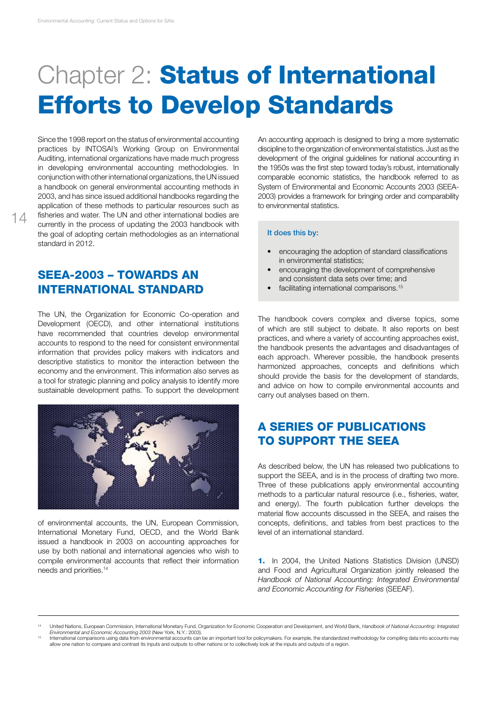# **Chapter 2: Status of International** Efforts to Develop Standards

Since the 1998 report on the status of environmental accounting practices by INTOSAI's Working Group on Environmental Auditing, international organizations have made much progress in developing environmental accounting methodologies. In conjunction with other international organizations, the UN issued a handbook on general environmental accounting methods in 2003, and has since issued additional handbooks regarding the application of these methods to particular resources such as fisheries and water. The UN and other international bodies are currently in the process of updating the 2003 handbook with the goal of adopting certain methodologies as an international standard in 2012.

## SEEA-2003 – Towards an International Standard

The UN, the Organization for Economic Co-operation and Development (OECD), and other international institutions have recommended that countries develop environmental accounts to respond to the need for consistent environmental information that provides policy makers with indicators and descriptive statistics to monitor the interaction between the economy and the environment. This information also serves as a tool for strategic planning and policy analysis to identify more sustainable development paths. To support the development



of environmental accounts, the UN, European Commission, International Monetary Fund, OECD, and the World Bank issued a handbook in 2003 on accounting approaches for use by both national and international agencies who wish to compile environmental accounts that reflect their information needs and priorities.14

An accounting approach is designed to bring a more systematic discipline to the organization of environmental statistics. Just as the development of the original guidelines for national accounting in the 1950s was the first step toward today's robust, internationally comparable economic statistics, the handbook referred to as System of Environmental and Economic Accounts 2003 (SEEA-2003) provides a framework for bringing order and comparability to environmental statistics.

#### It does this by:

- encouraging the adoption of standard classifications in environmental statistics;
- encouraging the development of comprehensive and consistent data sets over time; and
- facilitating international comparisons.<sup>15</sup>

The handbook covers complex and diverse topics, some of which are still subject to debate. It also reports on best practices, and where a variety of accounting approaches exist, the handbook presents the advantages and disadvantages of each approach. Wherever possible, the handbook presents harmonized approaches, concepts and definitions which should provide the basis for the development of standards, and advice on how to compile environmental accounts and carry out analyses based on them.

## A Series of Publications to Support the SEEA

As described below, the UN has released two publications to support the SEEA, and is in the process of drafting two more. Three of these publications apply environmental accounting methods to a particular natural resource (i.e., fisheries, water, and energy). The fourth publication further develops the material flow accounts discussed in the SEEA, and raises the concepts, definitions, and tables from best practices to the level of an international standard.

1. In 2004, the United Nations Statistics Division (UNSD) and Food and Agricultural Organization jointly released the *Handbook of National Accounting: Integrated Environmental and Economic Accounting for Fisheries* (SEEAF).

United Nations, European Commission, International Monetary Fund, Organization for Economic Cooperation and Development, and World Bank, Handbook of National Accounting: Integrated<br>Environmental and Economic Accounting 200

Environmental and Economic Accounting 2003 (New York, N.Y.: 2003).<br>International comparisons using data from environmental accounts can be an important tool for policymakers. For example, the standardized methodology for c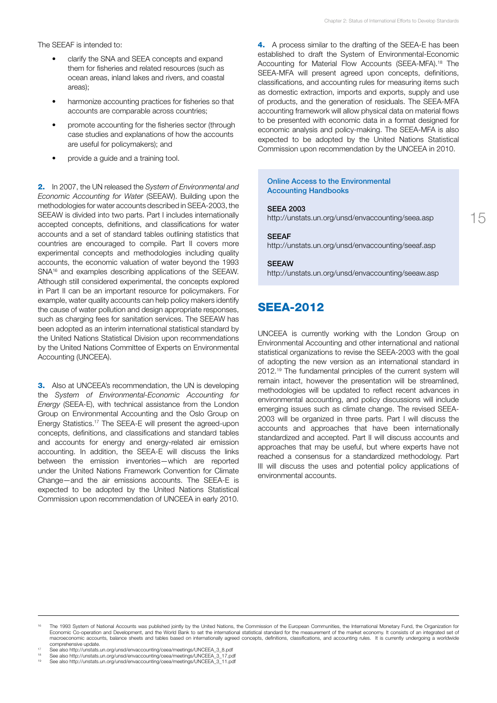The SEEAF is intended to:

- clarify the SNA and SEEA concepts and expand them for fisheries and related resources (such as ocean areas, inland lakes and rivers, and coastal areas);
- harmonize accounting practices for fisheries so that accounts are comparable across countries;
- promote accounting for the fisheries sector (through case studies and explanations of how the accounts are useful for policymakers); and
- provide a guide and a training tool.

2. In 2007, the UN released the *System of Environmental and Economic Accounting for Water* (SEEAW). Building upon the methodologies for water accounts described in SEEA-2003, the SEEAW is divided into two parts. Part I includes internationally accepted concepts, definitions, and classifications for water accounts and a set of standard tables outlining statistics that countries are encouraged to compile. Part II covers more experimental concepts and methodologies including quality accounts, the economic valuation of water beyond the 1993 SNA16 and examples describing applications of the SEEAW. Although still considered experimental, the concepts explored in Part II can be an important resource for policymakers. For example, water quality accounts can help policy makers identify the cause of water pollution and design appropriate responses, such as charging fees for sanitation services. The SEEAW has been adopted as an interim international statistical standard by the United Nations Statistical Division upon recommendations by the United Nations Committee of Experts on Environmental Accounting (UNCEEA).

**3.** Also at UNCEEA's recommendation, the UN is developing the *System of Environmental-Economic Accounting for Energy* (SEEA-E), with technical assistance from the London Group on Environmental Accounting and the Oslo Group on Energy Statistics.17 The SEEA-E will present the agreed-upon concepts, definitions, and classifications and standard tables and accounts for energy and energy-related air emission accounting. In addition, the SEEA-E will discuss the links between the emission inventories—which are reported under the United Nations Framework Convention for Climate Change—and the air emissions accounts. The SEEA-E is expected to be adopted by the United Nations Statistical Commission upon recommendation of UNCEEA in early 2010.

4. A process similar to the drafting of the SEEA-E has been established to draft the System of Environmental-Economic Accounting for Material Flow Accounts (SEEA-MFA).18 The SEEA-MFA will present agreed upon concepts, definitions, classifications, and accounting rules for measuring items such as domestic extraction, imports and exports, supply and use of products, and the generation of residuals. The SEEA-MFA accounting framework will allow physical data on material flows to be presented with economic data in a format designed for economic analysis and policy-making. The SEEA-MFA is also expected to be adopted by the United Nations Statistical Commission upon recommendation by the UNCEEA in 2010.

#### Online Access to the Environmental Accounting Handbooks

#### SEEA 2003

http://unstats.un.org/unsd/envaccounting/seea.asp

15

#### SEEAF

http://unstats.un.org/unsd/envaccounting/seeaf.asp

#### **SEEAW**

http://unstats.un.org/unsd/envaccounting/seeaw.asp

### **SFFA-2012**

UNCEEA is currently working with the London Group on Environmental Accounting and other international and national statistical organizations to revise the SEEA-2003 with the goal of adopting the new version as an international standard in 2012.<sup>19</sup> The fundamental principles of the current system will remain intact, however the presentation will be streamlined, methodologies will be updated to reflect recent advances in environmental accounting, and policy discussions will include emerging issues such as climate change. The revised SEEA-2003 will be organized in three parts. Part I will discuss the accounts and approaches that have been internationally standardized and accepted. Part II will discuss accounts and approaches that may be useful, but where experts have not reached a consensus for a standardized methodology. Part III will discuss the uses and potential policy applications of environmental accounts.

<sup>&</sup>lt;sup>16</sup> The 1993 System of National Accounts was published jointly by the United Nations, the Commission of the European Communities, the International Monetary Fund, the Organization for<br>Economic Co-operation and Development macroeconomic accounts, balance sheets and tables based on internationally agreed concepts, definitions, classifications, and accounting rules. It is currently undergoing a worldwide comprehensive update.

comprehensive update. 17 See also http://unstats.un.org/unsd/envaccounting/ceea/meetings/UNCEEA\_3\_8.pdf

See also http://unstats.un.org/unsd/envaccounting/ceea/meetings/UNCEEA\_3\_17.pdf

See also http://unstats.un.org/unsd/envaccounting/ceea/meetings/UNCEEA\_3\_11.pdf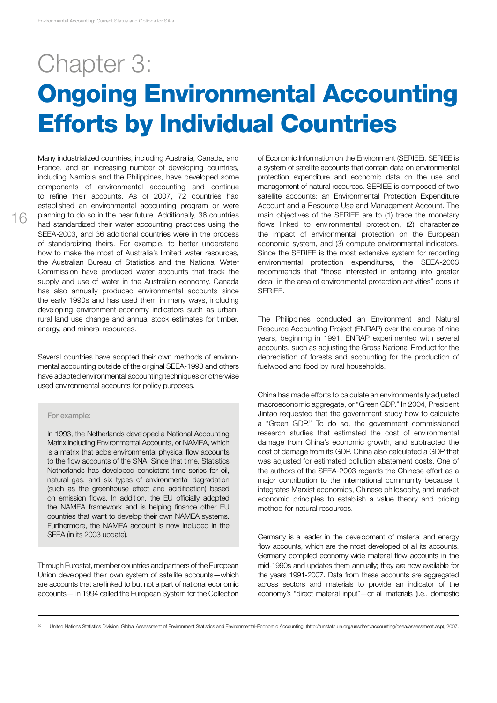## Chapter 3: Ongoing Environmental Accounting Efforts by Individual Countries

Many industrialized countries, including Australia, Canada, and France, and an increasing number of developing countries, including Namibia and the Philippines, have developed some components of environmental accounting and continue to refine their accounts. As of 2007, 72 countries had established an environmental accounting program or were planning to do so in the near future. Additionally, 36 countries had standardized their water accounting practices using the SEEA-2003, and 36 additional countries were in the process of standardizing theirs. For example, to better understand how to make the most of Australia's limited water resources, the Australian Bureau of Statistics and the National Water Commission have produced water accounts that track the supply and use of water in the Australian economy. Canada has also annually produced environmental accounts since the early 1990s and has used them in many ways, including developing environment-economy indicators such as urbanrural land use change and annual stock estimates for timber, energy, and mineral resources.

Several countries have adopted their own methods of environmental accounting outside of the original SEEA-1993 and others have adapted environmental accounting techniques or otherwise used environmental accounts for policy purposes.

#### For example:

In 1993, the Netherlands developed a National Accounting Matrix including Environmental Accounts, or NAMEA, which is a matrix that adds environmental physical flow accounts to the flow accounts of the SNA. Since that time, Statistics Netherlands has developed consistent time series for oil, natural gas, and six types of environmental degradation (such as the greenhouse effect and acidification) based on emission flows. In addition, the EU officially adopted the NAMEA framework and is helping finance other EU countries that want to develop their own NAMEA systems. Furthermore, the NAMEA account is now included in the SEEA (in its 2003 update).

Through Eurostat, member countries and partners of the European Union developed their own system of satellite accounts—which are accounts that are linked to but not a part of national economic accounts— in 1994 called the European System for the Collection of Economic Information on the Environment (SERIEE). SERIEE is a system of satellite accounts that contain data on environmental protection expenditure and economic data on the use and management of natural resources. SERIEE is composed of two satellite accounts: an Environmental Protection Expenditure Account and a Resource Use and Management Account. The main objectives of the SERIEE are to (1) trace the monetary flows linked to environmental protection, (2) characterize the impact of environmental protection on the European economic system, and (3) compute environmental indicators. Since the SERIEE is the most extensive system for recording environmental protection expenditures, the SEEA-2003 recommends that "those interested in entering into greater detail in the area of environmental protection activities" consult SERIEE.

The Philippines conducted an Environment and Natural Resource Accounting Project (ENRAP) over the course of nine years, beginning in 1991. ENRAP experimented with several accounts, such as adjusting the Gross National Product for the depreciation of forests and accounting for the production of fuelwood and food by rural households.

China has made efforts to calculate an environmentally adjusted macroeconomic aggregate, or "Green GDP." In 2004, President Jintao requested that the government study how to calculate a "Green GDP." To do so, the government commissioned research studies that estimated the cost of environmental damage from China's economic growth, and subtracted the cost of damage from its GDP. China also calculated a GDP that was adjusted for estimated pollution abatement costs. One of the authors of the SEEA-2003 regards the Chinese effort as a major contribution to the international community because it integrates Marxist economics, Chinese philosophy, and market economic principles to establish a value theory and pricing method for natural resources.

Germany is a leader in the development of material and energy flow accounts, which are the most developed of all its accounts. Germany compiled economy-wide material flow accounts in the mid-1990s and updates them annually; they are now available for the years 1991-2007. Data from these accounts are aggregated across sectors and materials to provide an indicator of the economy's "direct material input"—or all materials (i.e., domestic

<sup>20</sup> United Nations Statistics Division, Global Assessment of Environment Statistics and Environmental-Economic Accounting, (http://unstats.un.org/unsd/envaccounting/ceea/assessment.asp), 2007.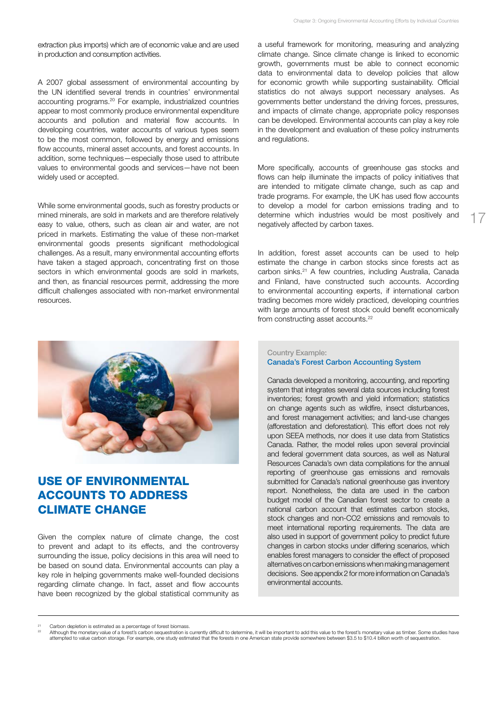extraction plus imports) which are of economic value and are used in production and consumption activities.

A 2007 global assessment of environmental accounting by the UN identified several trends in countries' environmental accounting programs.20 For example, industrialized countries appear to most commonly produce environmental expenditure accounts and pollution and material flow accounts. In developing countries, water accounts of various types seem to be the most common, followed by energy and emissions flow accounts, mineral asset accounts, and forest accounts. In addition, some techniques—especially those used to attribute values to environmental goods and services—have not been widely used or accepted.

While some environmental goods, such as forestry products or mined minerals, are sold in markets and are therefore relatively easy to value, others, such as clean air and water, are not priced in markets. Estimating the value of these non-market environmental goods presents significant methodological challenges. As a result, many environmental accounting efforts have taken a staged approach, concentrating first on those sectors in which environmental goods are sold in markets, and then, as financial resources permit, addressing the more difficult challenges associated with non-market environmental resources.



## Use of Environmental Accounts to Address Climate Change

Given the complex nature of climate change, the cost to prevent and adapt to its effects, and the controversy surrounding the issue, policy decisions in this area will need to be based on sound data. Environmental accounts can play a key role in helping governments make well-founded decisions regarding climate change. In fact, asset and flow accounts have been recognized by the global statistical community as a useful framework for monitoring, measuring and analyzing climate change. Since climate change is linked to economic growth, governments must be able to connect economic data to environmental data to develop policies that allow for economic growth while supporting sustainability. Official statistics do not always support necessary analyses. As governments better understand the driving forces, pressures, and impacts of climate change, appropriate policy responses can be developed. Environmental accounts can play a key role in the development and evaluation of these policy instruments and regulations.

More specifically, accounts of greenhouse gas stocks and flows can help illuminate the impacts of policy initiatives that are intended to mitigate climate change, such as cap and trade programs. For example, the UK has used flow accounts to develop a model for carbon emissions trading and to determine which industries would be most positively and negatively affected by carbon taxes.

17

In addition, forest asset accounts can be used to help estimate the change in carbon stocks since forests act as carbon sinks.21 A few countries, including Australia, Canada and Finland, have constructed such accounts. According to environmental accounting experts, if international carbon trading becomes more widely practiced, developing countries with large amounts of forest stock could benefit economically from constructing asset accounts.<sup>22</sup>

#### Country Example: Canada's Forest Carbon Accounting System

Canada developed a monitoring, accounting, and reporting system that integrates several data sources including forest inventories; forest growth and yield information; statistics on change agents such as wildfire, insect disturbances, and forest management activities; and land-use changes (afforestation and deforestation). This effort does not rely upon SEEA methods, nor does it use data from Statistics Canada. Rather, the model relies upon several provincial and federal government data sources, as well as Natural Resources Canada's own data compilations for the annual reporting of greenhouse gas emissions and removals submitted for Canada's national greenhouse gas inventory report. Nonetheless, the data are used in the carbon budget model of the Canadian forest sector to create a national carbon account that estimates carbon stocks, stock changes and non-CO2 emissions and removals to meet international reporting requirements. The data are also used in support of government policy to predict future changes in carbon stocks under differing scenarios, which enables forest managers to consider the effect of proposed alternatives on carbon emissions when making management decisions. See appendix 2 for more information on Canada's environmental accounts.

Carbon depletion is estimated as a percentage of forest biomass.<br>Although the monetary value of a forest's carbon sequestration is currently difficult to determine, it will be important to add this value to the forest's mo attempted to value carbon storage. For example, one study estimated that the forests in one American state provide somewhere between \$3.5 to \$10.4 billion worth of sequestration.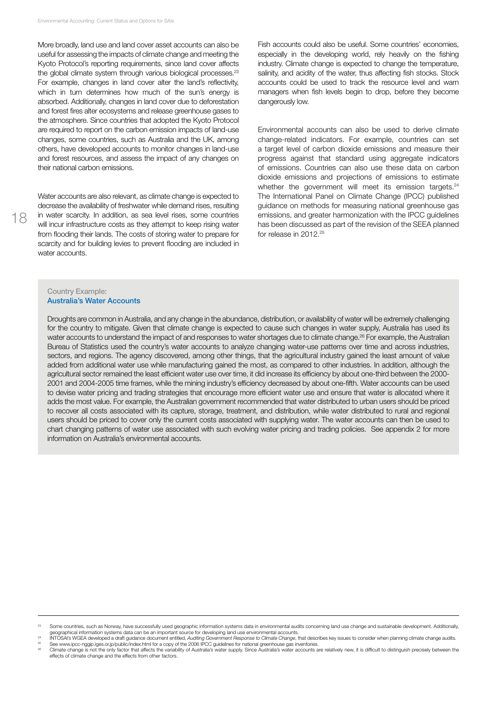More broadly, land use and land cover asset accounts can also be useful for assessing the impacts of climate change and meeting the Kyoto Protocol's reporting requirements, since land cover affects the global climate system through various biological processes.<sup>23</sup> For example, changes in land cover alter the land's reflectivity, which in turn determines how much of the sun's energy is absorbed. Additionally, changes in land cover due to deforestation and forest fires alter ecosystems and release greenhouse gases to the atmosphere. Since countries that adopted the Kyoto Protocol are required to report on the carbon emission impacts of land-use changes, some countries, such as Australia and the UK, among others, have developed accounts to monitor changes in land-use and forest resources, and assess the impact of any changes on their national carbon emissions.

Water accounts are also relevant, as climate change is expected to decrease the availability of freshwater while demand rises, resulting in water scarcity. In addition, as sea level rises, some countries will incur infrastructure costs as they attempt to keep rising water from flooding their lands. The costs of storing water to prepare for scarcity and for building levies to prevent flooding are included in water accounts.

Fish accounts could also be useful. Some countries' economies, especially in the developing world, rely heavily on the fishing industry. Climate change is expected to change the temperature, salinity, and acidity of the water, thus affecting fish stocks. Stock accounts could be used to track the resource level and warn managers when fish levels begin to drop, before they become dangerously low.

Environmental accounts can also be used to derive climate change-related indicators. For example, countries can set a target level of carbon dioxide emissions and measure their progress against that standard using aggregate indicators of emissions. Countries can also use these data on carbon dioxide emissions and projections of emissions to estimate whether the government will meet its emission targets.<sup>24</sup> The International Panel on Climate Change (IPCC) published guidance on methods for measuring national greenhouse gas emissions, and greater harmonization with the IPCC guidelines has been discussed as part of the revision of the SEEA planned for release in 2012.<sup>25</sup>

#### Country Example: Australia's Water Accounts

Droughts are common in Australia, and any change in the abundance, distribution, or availability of water will be extremely challenging for the country to mitigate. Given that climate change is expected to cause such changes in water supply, Australia has used its water accounts to understand the impact of and responses to water shortages due to climate change.<sup>26</sup> For example, the Australian Bureau of Statistics used the country's water accounts to analyze changing water-use patterns over time and across industries, sectors, and regions. The agency discovered, among other things, that the agricultural industry gained the least amount of value added from additional water use while manufacturing gained the most, as compared to other industries. In addition, although the agricultural sector remained the least efficient water use over time, it did increase its efficiency by about one-third between the 2000- 2001 and 2004-2005 time frames, while the mining industry's efficiency decreased by about one-fifth. Water accounts can be used to devise water pricing and trading strategies that encourage more efficient water use and ensure that water is allocated where it adds the most value. For example, the Australian government recommended that water distributed to urban users should be priced to recover all costs associated with its capture, storage, treatment, and distribution, while water distributed to rural and regional users should be priced to cover only the current costs associated with supplying water. The water accounts can then be used to chart changing patterns of water use associated with such evolving water pricing and trading policies. See appendix 2 for more information on Australia's environmental accounts.

Some countries, such as Norway, have successfully used geographic information systems data in environmental audits concerning land use change and sustainable development. Additionally, geographical information systems data

geographical information systems data can be an important source for developing land use environmental accounts.<br>INTOSAI's WGEA developed a draft guidance document entitled, Auditing Government Response to Climate Change m

Climate change is not the only factor that affects the variability of Australia's water supply. Since Australia's water accounts are relatively new, it is difficult to distinguish precisely between the effects of climate change and the effects from other factors.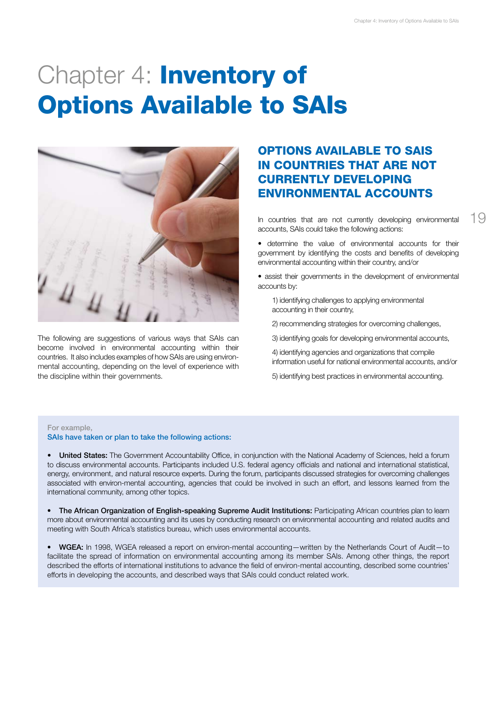# Chapter 4: **Inventory of** Options Available to SAIs



The following are suggestions of various ways that SAIs can become involved in environmental accounting within their countries. It also includes examples of how SAIs are using environmental accounting, depending on the level of experience with the discipline within their governments.

## Options Available to SAIs in Countries that Are Not Currently Developing Environmental Accounts

In countries that are not currently developing environmental accounts, SAIs could take the following actions:

• determine the value of environmental accounts for their government by identifying the costs and benefits of developing environmental accounting within their country, and/or

• assist their governments in the development of environmental accounts by:

- 1) identifying challenges to applying environmental accounting in their country,
- 2) recommending strategies for overcoming challenges,
- 3) identifying goals for developing environmental accounts,
- 4) identifying agencies and organizations that compile information useful for national environmental accounts, and/or
- 5) identifying best practices in environmental accounting.

#### For example,

SAIs have taken or plan to take the following actions:

United States: The Government Accountability Office, in conjunction with the National Academy of Sciences, held a forum to discuss environmental accounts. Participants included U.S. federal agency officials and national and international statistical, energy, environment, and natural resource experts. During the forum, participants discussed strategies for overcoming challenges associated with environ-mental accounting, agencies that could be involved in such an effort, and lessons learned from the international community, among other topics.

The African Organization of English-speaking Supreme Audit Institutions: Participating African countries plan to learn more about environmental accounting and its uses by conducting research on environmental accounting and related audits and meeting with South Africa's statistics bureau, which uses environmental accounts.

• WGEA: In 1998, WGEA released a report on environ-mental accounting—written by the Netherlands Court of Audit—to facilitate the spread of information on environmental accounting among its member SAIs. Among other things, the report described the efforts of international institutions to advance the field of environ-mental accounting, described some countries' efforts in developing the accounts, and described ways that SAIs could conduct related work.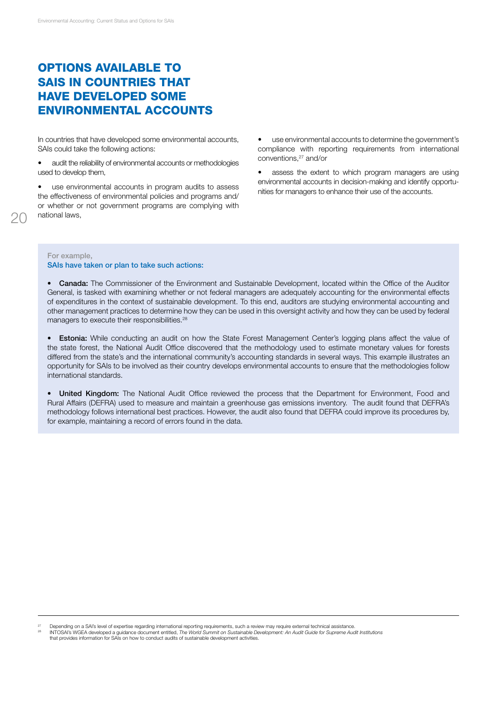## Options Available to SAIs in Countries that Have Developed Some Environmental Accounts

In countries that have developed some environmental accounts, SAIs could take the following actions:

• audit the reliability of environmental accounts or methodologies used to develop them,

use environmental accounts in program audits to assess the effectiveness of environmental policies and programs and/ or whether or not government programs are complying with national laws,

use environmental accounts to determine the government's compliance with reporting requirements from international conventions,27 and/or

assess the extent to which program managers are using environmental accounts in decision-making and identify opportunities for managers to enhance their use of the accounts.

For example, SAIs have taken or plan to take such actions:

• Canada: The Commissioner of the Environment and Sustainable Development, located within the Office of the Auditor General, is tasked with examining whether or not federal managers are adequately accounting for the environmental effects of expenditures in the context of sustainable development. To this end, auditors are studying environmental accounting and other management practices to determine how they can be used in this oversight activity and how they can be used by federal managers to execute their responsibilities.<sup>28</sup>

**Estonia:** While conducting an audit on how the State Forest Management Center's logging plans affect the value of the state forest, the National Audit Office discovered that the methodology used to estimate monetary values for forests differed from the state's and the international community's accounting standards in several ways. This example illustrates an opportunity for SAIs to be involved as their country develops environmental accounts to ensure that the methodologies follow international standards.

**United Kingdom:** The National Audit Office reviewed the process that the Department for Environment, Food and Rural Affairs (DEFRA) used to measure and maintain a greenhouse gas emissions inventory. The audit found that DEFRA's methodology follows international best practices. However, the audit also found that DEFRA could improve its procedures by, for example, maintaining a record of errors found in the data.

<sup>&</sup>lt;sup>27</sup> Depending on a SAI's level of expertise regarding international reporting requirements, such a review may require external technical assistance.<br><sup>28</sup> NTOSAI's WGEA developed a guidance document entitled, *The World Su* that provides information for SAIs on how to conduct audits of sustainable development activities.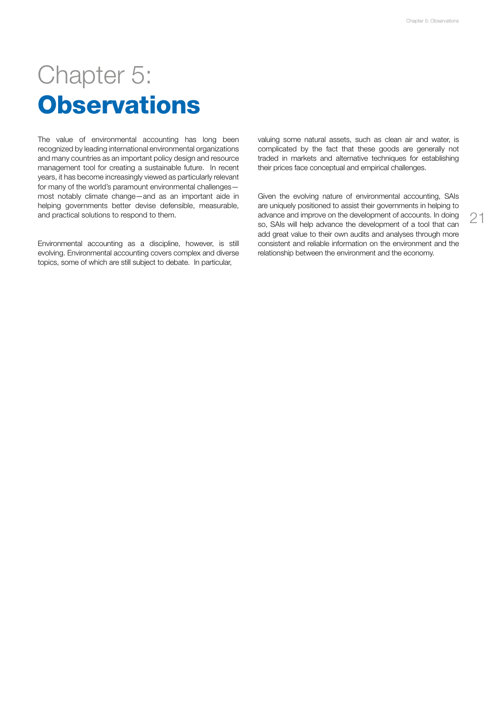21

# Chapter 5: **Observations**

The value of environmental accounting has long been recognized by leading international environmental organizations and many countries as an important policy design and resource management tool for creating a sustainable future. In recent years, it has become increasingly viewed as particularly relevant for many of the world's paramount environmental challenges most notably climate change—and as an important aide in helping governments better devise defensible, measurable, and practical solutions to respond to them.

Environmental accounting as a discipline, however, is still evolving. Environmental accounting covers complex and diverse topics, some of which are still subject to debate. In particular,

valuing some natural assets, such as clean air and water, is complicated by the fact that these goods are generally not traded in markets and alternative techniques for establishing their prices face conceptual and empirical challenges.

Given the evolving nature of environmental accounting, SAIs are uniquely positioned to assist their governments in helping to advance and improve on the development of accounts. In doing so, SAIs will help advance the development of a tool that can add great value to their own audits and analyses through more consistent and reliable information on the environment and the relationship between the environment and the economy.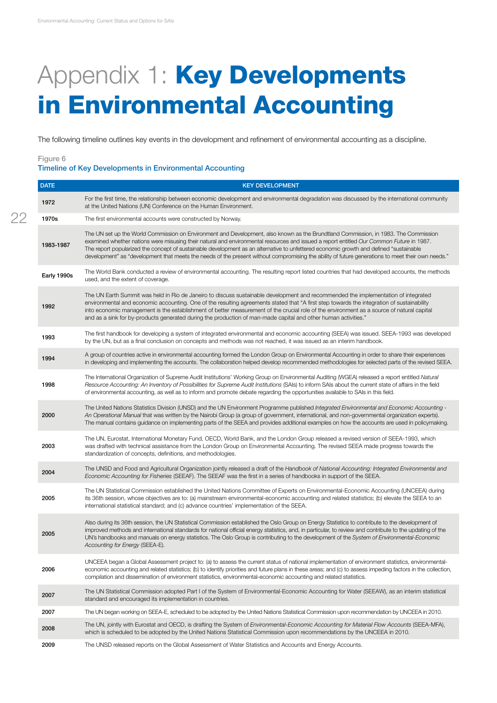# Appendix 1: Key Developments in Environmental Accounting

The following timeline outlines key events in the development and refinement of environmental accounting as a discipline.

#### Figure 6 Timeline of Key Developments in Environmental Accounting

| <b>DATE</b> | <b>KEY DEVELOPMENT</b>                                                                                                                                                                                                                                                                                                                                                                                                                                                                                                                                                          |
|-------------|---------------------------------------------------------------------------------------------------------------------------------------------------------------------------------------------------------------------------------------------------------------------------------------------------------------------------------------------------------------------------------------------------------------------------------------------------------------------------------------------------------------------------------------------------------------------------------|
| 1972        | For the first time, the relationship between economic development and environmental degradation was discussed by the international community<br>at the United Nations (UN) Conference on the Human Environment.                                                                                                                                                                                                                                                                                                                                                                 |
| 1970s       | The first environmental accounts were constructed by Norway.                                                                                                                                                                                                                                                                                                                                                                                                                                                                                                                    |
| 1983-1987   | The UN set up the World Commission on Environment and Development, also known as the Brundtland Commission, in 1983. The Commission<br>examined whether nations were misusing their natural and environmental resources and issued a report entitled Our Common Future in 1987.<br>The report popularized the concept of sustainable development as an alternative to unfettered economic growth and defined "sustainable"<br>development" as "development that meets the needs of the present without compromising the ability of future generations to meet their own needs." |
| Early 1990s | The World Bank conducted a review of environmental accounting. The resulting report listed countries that had developed accounts, the methods<br>used, and the extent of coverage.                                                                                                                                                                                                                                                                                                                                                                                              |
| 1992        | The UN Earth Summit was held in Rio de Janeiro to discuss sustainable development and recommended the implementation of integrated<br>environmental and economic accounting. One of the resulting agreements stated that "A first step towards the integration of sustainability<br>into economic management is the establishment of better measurement of the crucial role of the environment as a source of natural capital<br>and as a sink for by-products generated during the production of man-made capital and other human activities."                                 |
| 1993        | The first handbook for developing a system of integrated environmental and economic accounting (SEEA) was issued. SEEA-1993 was developed<br>by the UN, but as a final conclusion on concepts and methods was not reached, it was issued as an interim handbook.                                                                                                                                                                                                                                                                                                                |
| 1994        | A group of countries active in environmental accounting formed the London Group on Environmental Accounting in order to share their experiences<br>in developing and implementing the accounts. The collaboration helped develop recommended methodologies for selected parts of the revised SEEA.                                                                                                                                                                                                                                                                              |
| 1998        | The International Organization of Supreme Audit Institutions' Working Group on Environmental Auditing (WGEA) released a report entitled Natural<br>Resource Accounting: An Inventory of Possibilities for Supreme Audit Institutions (SAIs) to inform SAIs about the current state of affairs in the field<br>of environmental accounting, as well as to inform and promote debate regarding the opportunities available to SAIs in this field.                                                                                                                                 |
| 2000        | The United Nations Statistics Division (UNSD) and the UN Environment Programme published Integrated Environmental and Economic Accounting -<br>An Operational Manual that was written by the Nairobi Group (a group of government, international, and non-governmental organization experts).<br>The manual contains guidance on implementing parts of the SEEA and provides additional examples on how the accounts are used in policymaking.                                                                                                                                  |
| 2003        | The UN, Eurostat, International Monetary Fund, OECD, World Bank, and the London Group released a revised version of SEEA-1993, which<br>was drafted with technical assistance from the London Group on Environmental Accounting. The revised SEEA made progress towards the<br>standardization of concepts, definitions, and methodologies.                                                                                                                                                                                                                                     |
| 2004        | The UNSD and Food and Agricultural Organization jointly released a draft of the Handbook of National Accounting: Integrated Environmental and<br>Economic Accounting for Fisheries (SEEAF). The SEEAF was the first in a series of handbooks in support of the SEEA.                                                                                                                                                                                                                                                                                                            |
| 2005        | The UN Statistical Commission established the United Nations Committee of Experts on Environmental-Economic Accounting (UNCEEA) during<br>its 36th session, whose objectives are to: (a) mainstream environmental-economic accounting and related statistics; (b) elevate the SEEA to an<br>international statistical standard; and (c) advance countries' implementation of the SEEA.                                                                                                                                                                                          |
| 2005        | Also during its 36th session, the UN Statistical Commission established the Oslo Group on Energy Statistics to contribute to the development of<br>improved methods and international standards for national official energy statistics, and, in particular, to review and contribute to the updating of the<br>UN's handbooks and manuals on energy statistics. The Oslo Group is contributing to the development of the System of Environmental-Economic<br>Accounting for Energy (SEEA-E).                                                                                   |
| 2006        | UNCEEA began a Global Assessment project to: (a) to assess the current status of national implementation of environment statistics, environmental-<br>economic accounting and related statistics; (b) to identify priorities and future plans in these areas; and (c) to assess impeding factors in the collection,<br>compilation and dissemination of environment statistics, environmental-economic accounting and related statistics.                                                                                                                                       |
| 2007        | The UN Statistical Commission adopted Part I of the System of Environmental-Economic Accounting for Water (SEEAW), as an interim statistical<br>standard and encouraged its implementation in countries.                                                                                                                                                                                                                                                                                                                                                                        |
| 2007        | The UN began working on SEEA-E, scheduled to be adopted by the United Nations Statistical Commission upon recommendation by UNCEEA in 2010.                                                                                                                                                                                                                                                                                                                                                                                                                                     |
| 2008        | The UN, jointly with Eurostat and OECD, is drafting the System of Environmental-Economic Accounting for Material Flow Accounts (SEEA-MFA),<br>which is scheduled to be adopted by the United Nations Statistical Commission upon recommendations by the UNCEEA in 2010.                                                                                                                                                                                                                                                                                                         |
| 2009        | The UNSD released reports on the Global Assessment of Water Statistics and Accounts and Energy Accounts.                                                                                                                                                                                                                                                                                                                                                                                                                                                                        |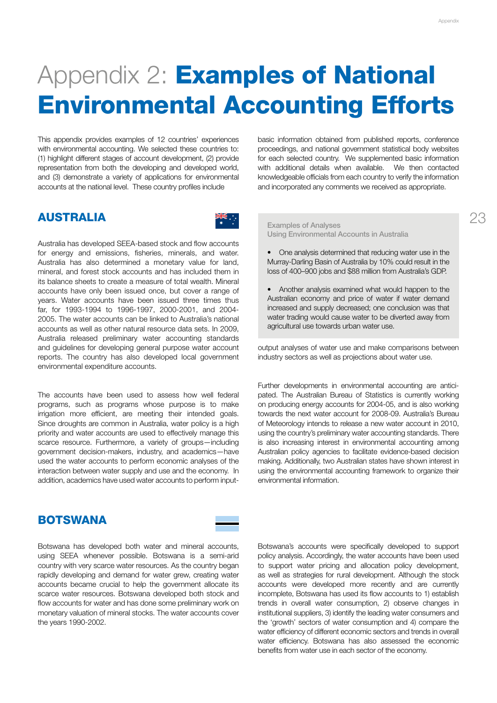This appendix provides examples of 12 countries' experiences with environmental accounting. We selected these countries to: (1) highlight different stages of account development, (2) provide representation from both the developing and developed world, and (3) demonstrate a variety of applications for environmental accounts at the national level. These country profiles include

basic information obtained from published reports, conference proceedings, and national government statistical body websites for each selected country. We supplemented basic information with additional details when available. We then contacted knowledgeable officials from each country to verify the information and incorporated any comments we received as appropriate.

## **AUSTRALIA**



Australia has developed SEEA-based stock and flow accounts for energy and emissions, fisheries, minerals, and water. Australia has also determined a monetary value for land, mineral, and forest stock accounts and has included them in its balance sheets to create a measure of total wealth. Mineral accounts have only been issued once, but cover a range of years. Water accounts have been issued three times thus far, for 1993-1994 to 1996-1997, 2000-2001, and 2004- 2005. The water accounts can be linked to Australia's national accounts as well as other natural resource data sets. In 2009, Australia released preliminary water accounting standards and guidelines for developing general purpose water account reports. The country has also developed local government environmental expenditure accounts.

The accounts have been used to assess how well federal programs, such as programs whose purpose is to make irrigation more efficient, are meeting their intended goals. Since droughts are common in Australia, water policy is a high priority and water accounts are used to effectively manage this scarce resource. Furthermore, a variety of groups—including government decision-makers, industry, and academics—have used the water accounts to perform economic analyses of the interaction between water supply and use and the economy. In addition, academics have used water accounts to perform input-

#### Examples of Analyses Using Environmental Accounts in Australia

- One analysis determined that reducing water use in the Murray-Darling Basin of Australia by 10% could result in the loss of 400–900 jobs and \$88 million from Australia's GDP.
- Another analysis examined what would happen to the Australian economy and price of water if water demand increased and supply decreased; one conclusion was that water trading would cause water to be diverted away from agricultural use towards urban water use.

output analyses of water use and make comparisons between industry sectors as well as projections about water use.

Further developments in environmental accounting are anticipated. The Australian Bureau of Statistics is currently working on producing energy accounts for 2004-05, and is also working towards the next water account for 2008-09. Australia's Bureau of Meteorology intends to release a new water account in 2010, using the country's preliminary water accounting standards. There is also increasing interest in environmental accounting among Australian policy agencies to facilitate evidence-based decision making. Additionally, two Australian states have shown interest in using the environmental accounting framework to organize their environmental information.

### **BOTSWANA**



Botswana's accounts were specifically developed to support policy analysis. Accordingly, the water accounts have been used to support water pricing and allocation policy development, as well as strategies for rural development. Although the stock accounts were developed more recently and are currently incomplete, Botswana has used its flow accounts to 1) establish trends in overall water consumption, 2) observe changes in institutional suppliers, 3) identify the leading water consumers and the 'growth' sectors of water consumption and 4) compare the water efficiency of different economic sectors and trends in overall water efficiency. Botswana has also assessed the economic benefits from water use in each sector of the economy.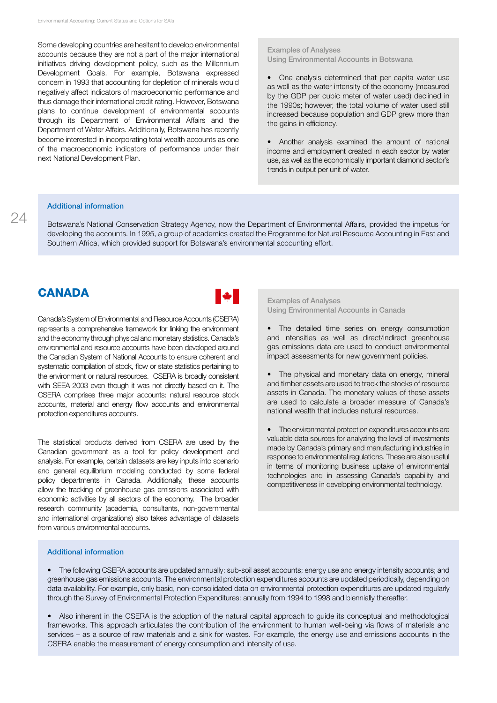Some developing countries are hesitant to develop environmental accounts because they are not a part of the major international initiatives driving development policy, such as the Millennium Development Goals. For example, Botswana expressed concern in 1993 that accounting for depletion of minerals would negatively affect indicators of macroeconomic performance and thus damage their international credit rating. However, Botswana plans to continue development of environmental accounts through its Department of Environmental Affairs and the Department of Water Affairs. Additionally, Botswana has recently become interested in incorporating total wealth accounts as one of the macroeconomic indicators of performance under their next National Development Plan.

#### Examples of Analyses Using Environmental Accounts in Botswana

- One analysis determined that per capita water use as well as the water intensity of the economy (measured by the GDP per cubic meter of water used) declined in the 1990s; however, the total volume of water used still increased because population and GDP grew more than the gains in efficiency.
- Another analysis examined the amount of national income and employment created in each sector by water use, as well as the economically important diamond sector's trends in output per unit of water.

#### Additional information

Botswana's National Conservation Strategy Agency, now the Department of Environmental Affairs, provided the impetus for developing the accounts. In 1995, a group of academics created the Programme for Natural Resource Accounting in East and Southern Africa, which provided support for Botswana's environmental accounting effort.

### **CANADA**



Canada's System of Environmental and Resource Accounts (CSERA) represents a comprehensive framework for linking the environment and the economy through physical and monetary statistics. Canada's environmental and resource accounts have been developed around the Canadian System of National Accounts to ensure coherent and systematic compilation of stock, flow or state statistics pertaining to the environment or natural resources. CSERA is broadly consistent with SEEA-2003 even though it was not directly based on it. The CSERA comprises three major accounts: natural resource stock accounts, material and energy flow accounts and environmental protection expenditures accounts.

The statistical products derived from CSERA are used by the Canadian government as a tool for policy development and analysis. For example, certain datasets are key inputs into scenario and general equilibrium modeling conducted by some federal policy departments in Canada. Additionally, these accounts allow the tracking of greenhouse gas emissions associated with economic activities by all sectors of the economy. The broader research community (academia, consultants, non-governmental and international organizations) also takes advantage of datasets from various environmental accounts.

#### Examples of Analyses Using Environmental Accounts in Canada

- The detailed time series on energy consumption and intensities as well as direct/indirect greenhouse gas emissions data are used to conduct environmental impact assessments for new government policies.
- The physical and monetary data on energy, mineral and timber assets are used to track the stocks of resource assets in Canada. The monetary values of these assets are used to calculate a broader measure of Canada's national wealth that includes natural resources.
- The environmental protection expenditures accounts are valuable data sources for analyzing the level of investments made by Canada's primary and manufacturing industries in response to environmental regulations. These are also useful in terms of monitoring business uptake of environmental technologies and in assessing Canada's capability and competitiveness in developing environmental technology.

#### Additional information

• The following CSERA accounts are updated annually: sub-soil asset accounts; energy use and energy intensity accounts; and greenhouse gas emissions accounts. The environmental protection expenditures accounts are updated periodically, depending on data availability. For example, only basic, non-consolidated data on environmental protection expenditures are updated regularly through the Survey of Environmental Protection Expenditures: annually from 1994 to 1998 and biennially thereafter.

• Also inherent in the CSERA is the adoption of the natural capital approach to guide its conceptual and methodological frameworks. This approach articulates the contribution of the environment to human well-being via flows of materials and services – as a source of raw materials and a sink for wastes. For example, the energy use and emissions accounts in the CSERA enable the measurement of energy consumption and intensity of use.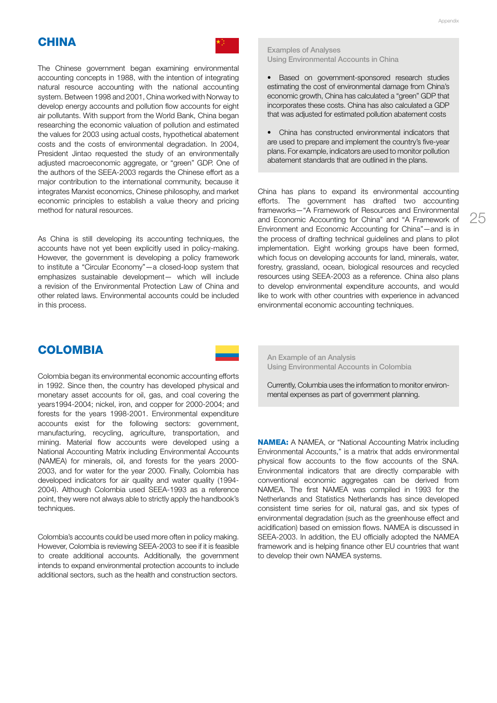## **CHINA**



The Chinese government began examining environmental accounting concepts in 1988, with the intention of integrating natural resource accounting with the national accounting system. Between 1998 and 2001, China worked with Norway to develop energy accounts and pollution flow accounts for eight air pollutants. With support from the World Bank, China began researching the economic valuation of pollution and estimated the values for 2003 using actual costs, hypothetical abatement costs and the costs of environmental degradation. In 2004, President Jintao requested the study of an environmentally adjusted macroeconomic aggregate, or "green" GDP. One of the authors of the SEEA-2003 regards the Chinese effort as a major contribution to the international community, because it integrates Marxist economics, Chinese philosophy, and market economic principles to establish a value theory and pricing method for natural resources.

As China is still developing its accounting techniques, the accounts have not yet been explicitly used in policy-making. However, the government is developing a policy framework to institute a "Circular Economy"—a closed-loop system that emphasizes sustainable development— which will include a revision of the Environmental Protection Law of China and other related laws. Environmental accounts could be included in this process.

#### Examples of Analyses Using Environmental Accounts in China

- Based on government-sponsored research studies estimating the cost of environmental damage from China's economic growth, China has calculated a "green" GDP that incorporates these costs. China has also calculated a GDP that was adjusted for estimated pollution abatement costs
- • China has constructed environmental indicators that are used to prepare and implement the country's five-year plans. For example, indicators are used to monitor pollution abatement standards that are outlined in the plans.

China has plans to expand its environmental accounting efforts. The government has drafted two accounting frameworks—"A Framework of Resources and Environmental and Economic Accounting for China" and "A Framework of Environment and Economic Accounting for China"—and is in the process of drafting technical guidelines and plans to pilot implementation. Eight working groups have been formed, which focus on developing accounts for land, minerals, water, forestry, grassland, ocean, biological resources and recycled resources using SEEA-2003 as a reference. China also plans to develop environmental expenditure accounts, and would like to work with other countries with experience in advanced environmental economic accounting techniques.

### **COLOMBIA**

Colombia began its environmental economic accounting efforts in 1992. Since then, the country has developed physical and monetary asset accounts for oil, gas, and coal covering the years1994-2004; nickel, iron, and copper for 2000-2004; and forests for the years 1998-2001. Environmental expenditure accounts exist for the following sectors: government, manufacturing, recycling, agriculture, transportation, and mining. Material flow accounts were developed using a National Accounting Matrix including Environmental Accounts (NAMEA) for minerals, oil, and forests for the years 2000- 2003, and for water for the year 2000. Finally, Colombia has developed indicators for air quality and water quality (1994- 2004). Although Colombia used SEEA-1993 as a reference point, they were not always able to strictly apply the handbook's techniques.

Colombia's accounts could be used more often in policy making. However, Colombia is reviewing SEEA-2003 to see if it is feasible to create additional accounts. Additionally, the government intends to expand environmental protection accounts to include additional sectors, such as the health and construction sectors.

An Example of an Analysis Using Environmental Accounts in Colombia

Currently, Columbia uses the information to monitor environmental expenses as part of government planning.

**NAMEA:** A NAMEA, or "National Accounting Matrix including Environmental Accounts," is a matrix that adds environmental physical flow accounts to the flow accounts of the SNA. Environmental indicators that are directly comparable with conventional economic aggregates can be derived from NAMEA. The first NAMEA was compiled in 1993 for the Netherlands and Statistics Netherlands has since developed consistent time series for oil, natural gas, and six types of environmental degradation (such as the greenhouse effect and acidification) based on emission flows. NAMEA is discussed in SEEA-2003. In addition, the EU officially adopted the NAMEA framework and is helping finance other EU countries that want to develop their own NAMEA systems.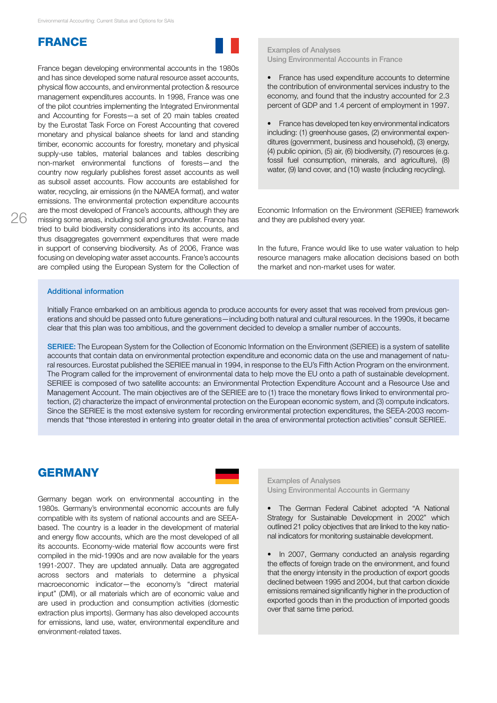### **FRANCE**

France began developing environmental accounts in the 1980s and has since developed some natural resource asset accounts, physical flow accounts, and environmental protection & resource management expenditures accounts. In 1998, France was one of the pilot countries implementing the Integrated Environmental and Accounting for Forests—a set of 20 main tables created by the Eurostat Task Force on Forest Accounting that covered monetary and physical balance sheets for land and standing timber, economic accounts for forestry, monetary and physical supply-use tables, material balances and tables describing non-market environmental functions of forests—and the country now regularly publishes forest asset accounts as well as subsoil asset accounts. Flow accounts are established for water, recycling, air emissions (in the NAMEA format), and water emissions. The environmental protection expenditure accounts are the most developed of France's accounts, although they are missing some areas, including soil and groundwater. France has tried to build biodiversity considerations into its accounts, and thus disaggregates government expenditures that were made in support of conserving biodiversity. As of 2006, France was focusing on developing water asset accounts. France's accounts are compiled using the European System for the Collection of

#### Examples of Analyses Using Environmental Accounts in France

• France has used expenditure accounts to determine the contribution of environmental services industry to the economy, and found that the industry accounted for 2.3 percent of GDP and 1.4 percent of employment in 1997.

• France has developed ten key environmental indicators including: (1) greenhouse gases, (2) environmental expenditures (government, business and household), (3) energy, (4) public opinion, (5) air, (6) biodiversity, (7) resources (e.g. fossil fuel consumption, minerals, and agriculture), (8) water, (9) land cover, and (10) waste (including recycling).

Economic Information on the Environment (SERIEE) framework and they are published every year.

In the future, France would like to use water valuation to help resource managers make allocation decisions based on both the market and non-market uses for water.

#### Additional information

Initially France embarked on an ambitious agenda to produce accounts for every asset that was received from previous generations and should be passed onto future generations—including both natural and cultural resources. In the 1990s, it became clear that this plan was too ambitious, and the government decided to develop a smaller number of accounts.

SERIEE: The European System for the Collection of Economic Information on the Environment (SERIEE) is a system of satellite accounts that contain data on environmental protection expenditure and economic data on the use and management of natural resources. Eurostat published the SERIEE manual in 1994, in response to the EU's Fifth Action Program on the environment. The Program called for the improvement of environmental data to help move the EU onto a path of sustainable development. SERIEE is composed of two satellite accounts: an Environmental Protection Expenditure Account and a Resource Use and Management Account. The main objectives are of the SERIEE are to (1) trace the monetary flows linked to environmental protection, (2) characterize the impact of environmental protection on the European economic system, and (3) compute indicators. Since the SERIEE is the most extensive system for recording environmental protection expenditures, the SEEA-2003 recommends that "those interested in entering into greater detail in the area of environmental protection activities" consult SERIEE.

### **GERMANY**



Germany began work on environmental accounting in the 1980s. Germany's environmental economic accounts are fully compatible with its system of national accounts and are SEEAbased. The country is a leader in the development of material and energy flow accounts, which are the most developed of all its accounts. Economy-wide material flow accounts were first compiled in the mid-1990s and are now available for the years 1991-2007. They are updated annually. Data are aggregated across sectors and materials to determine a physical macroeconomic indicator—the economy's "direct material input" (DMI), or all materials which are of economic value and are used in production and consumption activities (domestic extraction plus imports). Germany has also developed accounts for emissions, land use, water, environmental expenditure and environment-related taxes.

Examples of Analyses Using Environmental Accounts in Germany

• The German Federal Cabinet adopted "A National Strategy for Sustainable Development in 2002" which outlined 21 policy objectives that are linked to the key national indicators for monitoring sustainable development.

• In 2007, Germany conducted an analysis regarding the effects of foreign trade on the environment, and found that the energy intensity in the production of export goods declined between 1995 and 2004, but that carbon dioxide emissions remained significantly higher in the production of exported goods than in the production of imported goods over that same time period.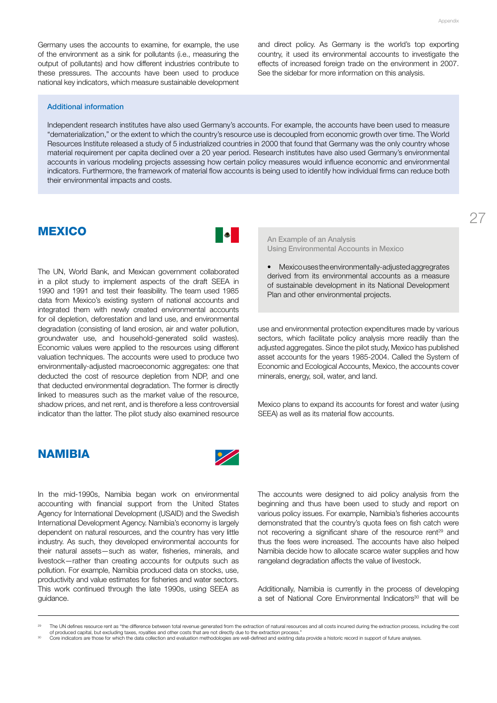Germany uses the accounts to examine, for example, the use of the environment as a sink for pollutants (i.e., measuring the output of pollutants) and how different industries contribute to these pressures. The accounts have been used to produce national key indicators, which measure sustainable development and direct policy. As Germany is the world's top exporting country, it used its environmental accounts to investigate the effects of increased foreign trade on the environment in 2007. See the sidebar for more information on this analysis.

#### Additional information

Independent research institutes have also used Germany's accounts. For example, the accounts have been used to measure "dematerialization," or the extent to which the country's resource use is decoupled from economic growth over time. The World Resources Institute released a study of 5 industrialized countries in 2000 that found that Germany was the only country whose material requirement per capita declined over a 20 year period. Research institutes have also used Germany's environmental accounts in various modeling projects assessing how certain policy measures would influence economic and environmental indicators. Furthermore, the framework of material flow accounts is being used to identify how individual firms can reduce both their environmental impacts and costs.

### **MEXICO**



The UN, World Bank, and Mexican government collaborated in a pilot study to implement aspects of the draft SEEA in 1990 and 1991 and test their feasibility. The team used 1985 data from Mexico's existing system of national accounts and integrated them with newly created environmental accounts for oil depletion, deforestation and land use, and environmental degradation (consisting of land erosion, air and water pollution, groundwater use, and household-generated solid wastes). Economic values were applied to the resources using different valuation techniques. The accounts were used to produce two environmentally-adjusted macroeconomic aggregates: one that deducted the cost of resource depletion from NDP, and one that deducted environmental degradation. The former is directly linked to measures such as the market value of the resource, shadow prices, and net rent, and is therefore a less controversial indicator than the latter. The pilot study also examined resource An Example of an Analysis Using Environmental Accounts in Mexico

Mexicouses the environmentally-adjusted aggregrates derived from its environmental accounts as a measure of sustainable development in its National Development Plan and other environmental projects.

use and environmental protection expenditures made by various sectors, which facilitate policy analysis more readily than the adjusted aggregates. Since the pilot study, Mexico has published asset accounts for the years 1985-2004. Called the System of Economic and Ecological Accounts, Mexico, the accounts cover minerals, energy, soil, water, and land.

Mexico plans to expand its accounts for forest and water (using SEEA) as well as its material flow accounts.

### **NAMIBIA**



In the mid-1990s, Namibia began work on environmental accounting with financial support from the United States Agency for International Development (USAID) and the Swedish International Development Agency. Namibia's economy is largely dependent on natural resources, and the country has very little industry. As such, they developed environmental accounts for their natural assets—such as water, fisheries, minerals, and livestock—rather than creating accounts for outputs such as pollution. For example, Namibia produced data on stocks, use, productivity and value estimates for fisheries and water sectors. This work continued through the late 1990s, using SEEA as guidance.

The accounts were designed to aid policy analysis from the beginning and thus have been used to study and report on various policy issues. For example, Namibia's fisheries accounts demonstrated that the country's quota fees on fish catch were not recovering a significant share of the resource rent<sup>29</sup> and thus the fees were increased. The accounts have also helped Namibia decide how to allocate scarce water supplies and how rangeland degradation affects the value of livestock.

Additionally, Namibia is currently in the process of developing a set of National Core Environmental Indicators<sup>30</sup> that will be

The UN defines resource rent as "the difference between total revenue generated from the extraction of natural resources and all costs incurred during the extraction process, including the cost<br>of produced capital, but exc

Core indicators are those for which the data collection and evaluation methodologies are well-defined and existing data provide a historic record in support of future analyses.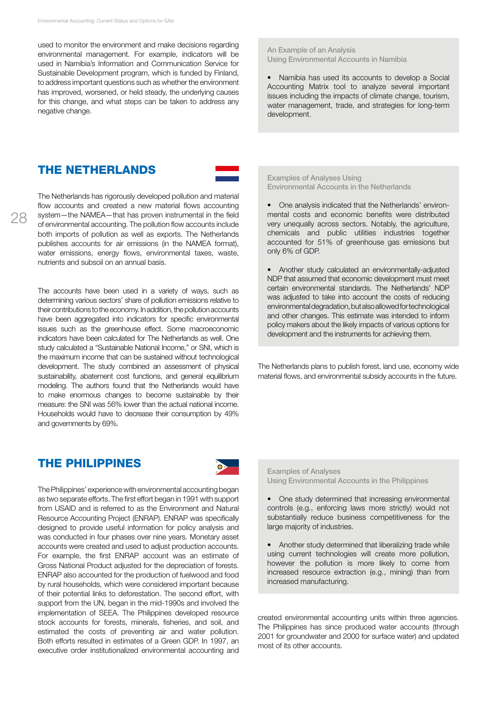used to monitor the environment and make decisions regarding environmental management. For example, indicators will be used in Namibia's Information and Communication Service for Sustainable Development program, which is funded by Finland, to address important questions such as whether the environment has improved, worsened, or held steady, the underlying causes for this change, and what steps can be taken to address any negative change.

### the netherlands

The Netherlands has rigorously developed pollution and material flow accounts and created a new material flows accounting system—the NAMEA—that has proven instrumental in the field of environmental accounting. The pollution flow accounts include both imports of pollution as well as exports. The Netherlands publishes accounts for air emissions (in the NAMEA format), water emissions, energy flows, environmental taxes, waste, nutrients and subsoil on an annual basis.

The accounts have been used in a variety of ways, such as determining various sectors' share of pollution emissions relative to their contributions to the economy. In addition, the pollution accounts have been aggregated into indicators for specific environmental issues such as the greenhouse effect. Some macroeconomic indicators have been calculated for The Netherlands as well. One study calculated a "Sustainable National Income," or SNI, which is the maximum income that can be sustained without technological development. The study combined an assessment of physical sustainability, abatement cost functions, and general equilibrium modeling. The authors found that the Netherlands would have to make enormous changes to become sustainable by their measure: the SNI was 56% lower than the actual national income. Households would have to decrease their consumption by 49% and governments by 69%.

### the philippines



ThePhilippines' experience with environmental accounting began as two separate efforts. The first effort began in 1991 with support from USAID and is referred to as the Environment and Natural Resource Accounting Project (ENRAP). ENRAP was specifically designed to provide useful information for policy analysis and was conducted in four phases over nine years. Monetary asset accounts were created and used to adjust production accounts. For example, the first ENRAP account was an estimate of Gross National Product adjusted for the depreciation of forests. ENRAP also accounted for the production of fuelwood and food by rural households, which were considered important because of their potential links to deforestation. The second effort, with support from the UN, began in the mid-1990s and involved the implementation of SEEA. The Philippines developed resource stock accounts for forests, minerals, fisheries, and soil, and estimated the costs of preventing air and water pollution. Both efforts resulted in estimates of a Green GDP. In 1997, an executive order institutionalized environmental accounting and

An Example of an Analysis Using Environmental Accounts in Namibia

• Namibia has used its accounts to develop a Social Accounting Matrix tool to analyze several important issues including the impacts of climate change, tourism, water management, trade, and strategies for long-term development.

Examples of Analyses Using Environmental Accounts in the Netherlands

• One analysis indicated that the Netherlands' environmental costs and economic benefits were distributed very unequally across sectors. Notably, the agriculture, chemicals and public utilities industries together accounted for 51% of greenhouse gas emissions but only 6% of GDP.

• Another study calculated an environmentally-adjusted NDP that assumed that economic development must meet certain environmental standards. The Netherlands' NDP was adjusted to take into account the costs of reducing environmental degradation, but also allowed for technological and other changes. This estimate was intended to inform policy makers about the likely impacts of various options for development and the instruments for achieving them.

The Netherlands plans to publish forest, land use, economy wide material flows, and environmental subsidy accounts in the future.

Examples of Analyses Using Environmental Accounts in the Philippines

• One study determined that increasing environmental controls (e.g., enforcing laws more strictly) would not substantially reduce business competitiveness for the large majority of industries.

• Another study determined that liberalizing trade while using current technologies will create more pollution, however the pollution is more likely to come from increased resource extraction (e.g., mining) than from increased manufacturing.

created environmental accounting units within three agencies. The Philippines has since produced water accounts (through 2001 for groundwater and 2000 for surface water) and updated most of its other accounts.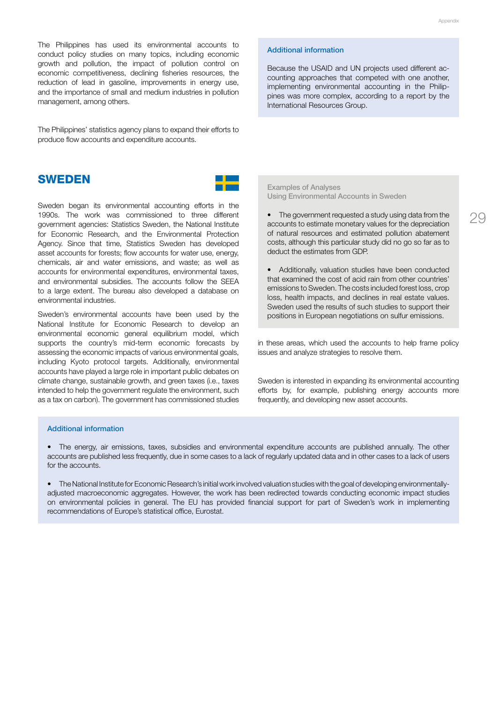The Philippines has used its environmental accounts to conduct policy studies on many topics, including economic growth and pollution, the impact of pollution control on economic competitiveness, declining fisheries resources, the reduction of lead in gasoline, improvements in energy use, and the importance of small and medium industries in pollution management, among others.

The Philippines' statistics agency plans to expand their efforts to produce flow accounts and expenditure accounts.

### **SWEDEN**

Sweden began its environmental accounting efforts in the 1990s. The work was commissioned to three different government agencies: Statistics Sweden, the National Institute for Economic Research, and the Environmental Protection Agency. Since that time, Statistics Sweden has developed asset accounts for forests; flow accounts for water use, energy, chemicals, air and water emissions, and waste; as well as accounts for environmental expenditures, environmental taxes, and environmental subsidies. The accounts follow the SEEA to a large extent. The bureau also developed a database on environmental industries.

Sweden's environmental accounts have been used by the National Institute for Economic Research to develop an environmental economic general equilibrium model, which supports the country's mid-term economic forecasts by assessing the economic impacts of various environmental goals, including Kyoto protocol targets. Additionally, environmental accounts have played a large role in important public debates on climate change, sustainable growth, and green taxes (i.e., taxes intended to help the government regulate the environment, such as a tax on carbon). The government has commissioned studies

#### Additional information

Because the USAID and UN projects used different accounting approaches that competed with one another, implementing environmental accounting in the Philippines was more complex, according to a report by the International Resources Group.

Examples of Analyses Using Environmental Accounts in Sweden

The government requested a study using data from the accounts to estimate monetary values for the depreciation of natural resources and estimated pollution abatement costs, although this particular study did no go so far as to deduct the estimates from GDP.

Additionally, valuation studies have been conducted that examined the cost of acid rain from other countries' emissions to Sweden. The costs included forest loss, crop loss, health impacts, and declines in real estate values. Sweden used the results of such studies to support their positions in European negotiations on sulfur emissions.

in these areas, which used the accounts to help frame policy issues and analyze strategies to resolve them.

Sweden is interested in expanding its environmental accounting efforts by, for example, publishing energy accounts more frequently, and developing new asset accounts.

#### Additional information

• The energy, air emissions, taxes, subsidies and environmental expenditure accounts are published annually. The other accounts are published less frequently, due in some cases to a lack of regularly updated data and in other cases to a lack of users for the accounts.

• The National Institute for Economic Research's initial work involved valuation studies with the goal of developing environmentallyadjusted macroeconomic aggregates. However, the work has been redirected towards conducting economic impact studies on environmental policies in general. The EU has provided financial support for part of Sweden's work in implementing recommendations of Europe's statistical office, Eurostat.